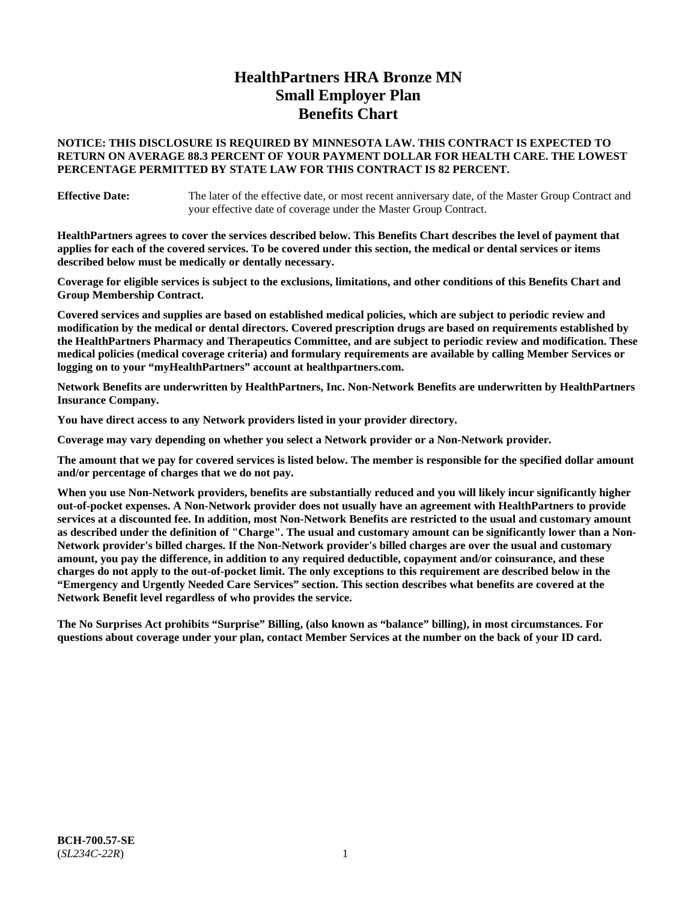# **HealthPartners HRA Bronze MN Small Employer Plan Benefits Chart**

## **NOTICE: THIS DISCLOSURE IS REQUIRED BY MINNESOTA LAW. THIS CONTRACT IS EXPECTED TO RETURN ON AVERAGE 88.3 PERCENT OF YOUR PAYMENT DOLLAR FOR HEALTH CARE. THE LOWEST PERCENTAGE PERMITTED BY STATE LAW FOR THIS CONTRACT IS 82 PERCENT.**

**Effective Date:** The later of the effective date, or most recent anniversary date, of the Master Group Contract and your effective date of coverage under the Master Group Contract.

**HealthPartners agrees to cover the services described below. This Benefits Chart describes the level of payment that applies for each of the covered services. To be covered under this section, the medical or dental services or items described below must be medically or dentally necessary.**

**Coverage for eligible services is subject to the exclusions, limitations, and other conditions of this Benefits Chart and Group Membership Contract.**

**Covered services and supplies are based on established medical policies, which are subject to periodic review and modification by the medical or dental directors. Covered prescription drugs are based on requirements established by the HealthPartners Pharmacy and Therapeutics Committee, and are subject to periodic review and modification. These medical policies (medical coverage criteria) and formulary requirements are available by calling Member Services or logging on to your "myHealthPartners" account at [healthpartners.com.](https://www.healthpartners.com/hp/index.html)**

**Network Benefits are underwritten by HealthPartners, Inc. Non-Network Benefits are underwritten by HealthPartners Insurance Company.** 

**You have direct access to any Network providers listed in your provider directory.**

**Coverage may vary depending on whether you select a Network provider or a Non-Network provider.**

**The amount that we pay for covered services is listed below. The member is responsible for the specified dollar amount and/or percentage of charges that we do not pay.**

**When you use Non-Network providers, benefits are substantially reduced and you will likely incur significantly higher out-of-pocket expenses. A Non-Network provider does not usually have an agreement with HealthPartners to provide services at a discounted fee. In addition, most Non-Network Benefits are restricted to the usual and customary amount as described under the definition of "Charge". The usual and customary amount can be significantly lower than a Non-Network provider's billed charges. If the Non-Network provider's billed charges are over the usual and customary amount, you pay the difference, in addition to any required deductible, copayment and/or coinsurance, and these charges do not apply to the out-of-pocket limit. The only exceptions to this requirement are described below in the "Emergency and Urgently Needed Care Services" section. This section describes what benefits are covered at the Network Benefit level regardless of who provides the service.**

**The No Surprises Act prohibits "Surprise" Billing, (also known as "balance" billing), in most circumstances. For questions about coverage under your plan, contact Member Services at the number on the back of your ID card.**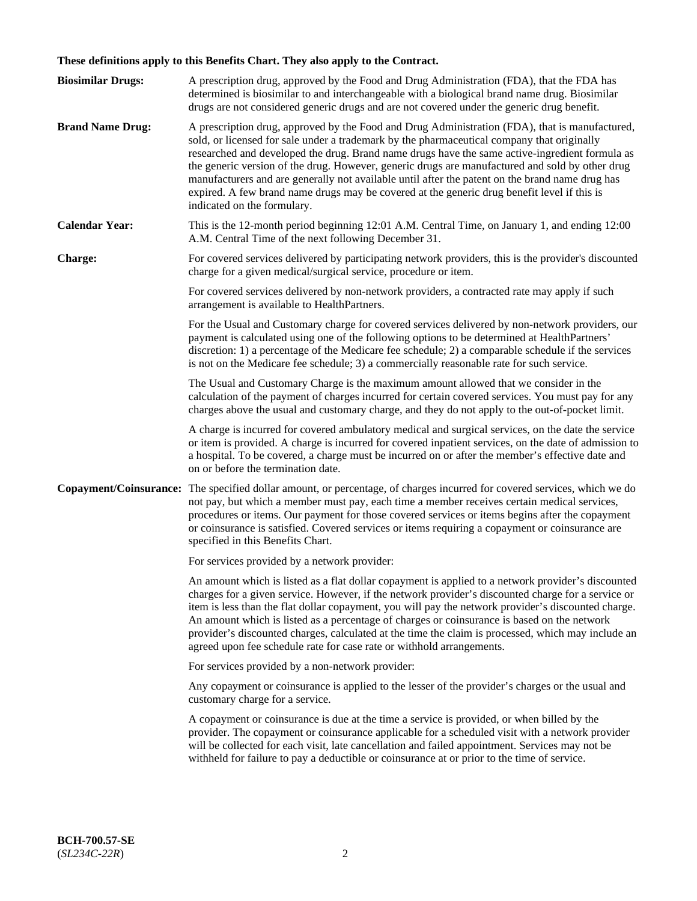# **These definitions apply to this Benefits Chart. They also apply to the Contract.**

| <b>Biosimilar Drugs:</b> | A prescription drug, approved by the Food and Drug Administration (FDA), that the FDA has<br>determined is biosimilar to and interchangeable with a biological brand name drug. Biosimilar<br>drugs are not considered generic drugs and are not covered under the generic drug benefit.                                                                                                                                                                                                                                                                                                                                           |
|--------------------------|------------------------------------------------------------------------------------------------------------------------------------------------------------------------------------------------------------------------------------------------------------------------------------------------------------------------------------------------------------------------------------------------------------------------------------------------------------------------------------------------------------------------------------------------------------------------------------------------------------------------------------|
| <b>Brand Name Drug:</b>  | A prescription drug, approved by the Food and Drug Administration (FDA), that is manufactured,<br>sold, or licensed for sale under a trademark by the pharmaceutical company that originally<br>researched and developed the drug. Brand name drugs have the same active-ingredient formula as<br>the generic version of the drug. However, generic drugs are manufactured and sold by other drug<br>manufacturers and are generally not available until after the patent on the brand name drug has<br>expired. A few brand name drugs may be covered at the generic drug benefit level if this is<br>indicated on the formulary. |
| <b>Calendar Year:</b>    | This is the 12-month period beginning 12:01 A.M. Central Time, on January 1, and ending 12:00<br>A.M. Central Time of the next following December 31.                                                                                                                                                                                                                                                                                                                                                                                                                                                                              |
| Charge:                  | For covered services delivered by participating network providers, this is the provider's discounted<br>charge for a given medical/surgical service, procedure or item.                                                                                                                                                                                                                                                                                                                                                                                                                                                            |
|                          | For covered services delivered by non-network providers, a contracted rate may apply if such<br>arrangement is available to HealthPartners.                                                                                                                                                                                                                                                                                                                                                                                                                                                                                        |
|                          | For the Usual and Customary charge for covered services delivered by non-network providers, our<br>payment is calculated using one of the following options to be determined at HealthPartners'<br>discretion: 1) a percentage of the Medicare fee schedule; 2) a comparable schedule if the services<br>is not on the Medicare fee schedule; 3) a commercially reasonable rate for such service.                                                                                                                                                                                                                                  |
|                          | The Usual and Customary Charge is the maximum amount allowed that we consider in the<br>calculation of the payment of charges incurred for certain covered services. You must pay for any<br>charges above the usual and customary charge, and they do not apply to the out-of-pocket limit.                                                                                                                                                                                                                                                                                                                                       |
|                          | A charge is incurred for covered ambulatory medical and surgical services, on the date the service<br>or item is provided. A charge is incurred for covered inpatient services, on the date of admission to<br>a hospital. To be covered, a charge must be incurred on or after the member's effective date and<br>on or before the termination date.                                                                                                                                                                                                                                                                              |
| Copayment/Coinsurance:   | The specified dollar amount, or percentage, of charges incurred for covered services, which we do<br>not pay, but which a member must pay, each time a member receives certain medical services,<br>procedures or items. Our payment for those covered services or items begins after the copayment<br>or coinsurance is satisfied. Covered services or items requiring a copayment or coinsurance are<br>specified in this Benefits Chart.                                                                                                                                                                                        |
|                          | For services provided by a network provider:                                                                                                                                                                                                                                                                                                                                                                                                                                                                                                                                                                                       |
|                          | An amount which is listed as a flat dollar copayment is applied to a network provider's discounted<br>charges for a given service. However, if the network provider's discounted charge for a service or<br>item is less than the flat dollar copayment, you will pay the network provider's discounted charge.<br>An amount which is listed as a percentage of charges or coinsurance is based on the network<br>provider's discounted charges, calculated at the time the claim is processed, which may include an<br>agreed upon fee schedule rate for case rate or withhold arrangements.                                      |
|                          | For services provided by a non-network provider:                                                                                                                                                                                                                                                                                                                                                                                                                                                                                                                                                                                   |
|                          | Any copayment or coinsurance is applied to the lesser of the provider's charges or the usual and<br>customary charge for a service.                                                                                                                                                                                                                                                                                                                                                                                                                                                                                                |
|                          | A copayment or coinsurance is due at the time a service is provided, or when billed by the<br>provider. The copayment or coinsurance applicable for a scheduled visit with a network provider<br>will be collected for each visit, late cancellation and failed appointment. Services may not be<br>withheld for failure to pay a deductible or coinsurance at or prior to the time of service.                                                                                                                                                                                                                                    |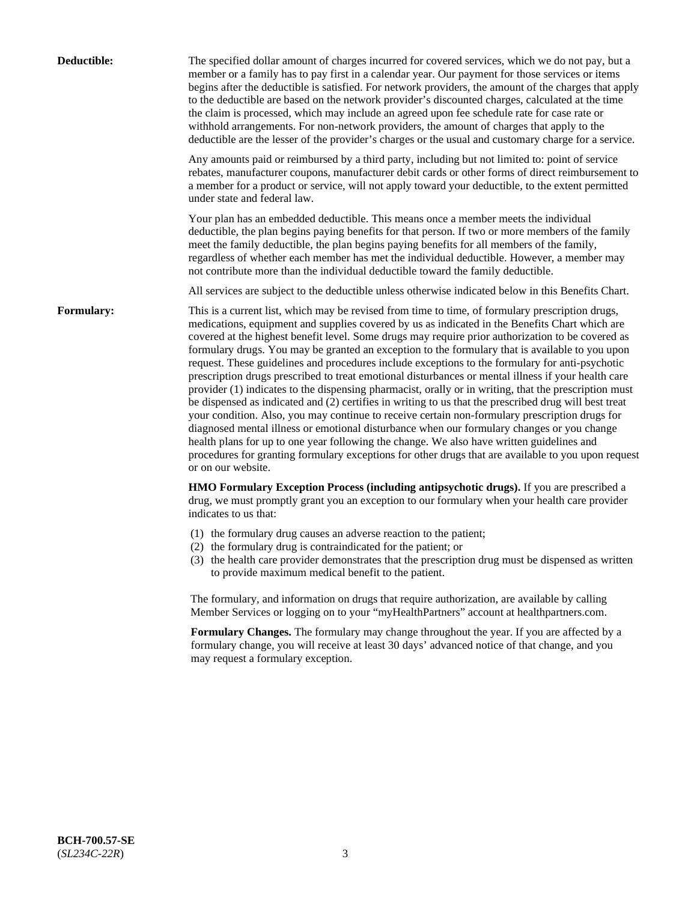| Deductible:       | The specified dollar amount of charges incurred for covered services, which we do not pay, but a<br>member or a family has to pay first in a calendar year. Our payment for those services or items<br>begins after the deductible is satisfied. For network providers, the amount of the charges that apply<br>to the deductible are based on the network provider's discounted charges, calculated at the time<br>the claim is processed, which may include an agreed upon fee schedule rate for case rate or<br>withhold arrangements. For non-network providers, the amount of charges that apply to the<br>deductible are the lesser of the provider's charges or the usual and customary charge for a service.                                                                                                                                                                                                                                                                                                                                                                                                                                                                                                                                             |
|-------------------|------------------------------------------------------------------------------------------------------------------------------------------------------------------------------------------------------------------------------------------------------------------------------------------------------------------------------------------------------------------------------------------------------------------------------------------------------------------------------------------------------------------------------------------------------------------------------------------------------------------------------------------------------------------------------------------------------------------------------------------------------------------------------------------------------------------------------------------------------------------------------------------------------------------------------------------------------------------------------------------------------------------------------------------------------------------------------------------------------------------------------------------------------------------------------------------------------------------------------------------------------------------|
|                   | Any amounts paid or reimbursed by a third party, including but not limited to: point of service<br>rebates, manufacturer coupons, manufacturer debit cards or other forms of direct reimbursement to<br>a member for a product or service, will not apply toward your deductible, to the extent permitted<br>under state and federal law.                                                                                                                                                                                                                                                                                                                                                                                                                                                                                                                                                                                                                                                                                                                                                                                                                                                                                                                        |
|                   | Your plan has an embedded deductible. This means once a member meets the individual<br>deductible, the plan begins paying benefits for that person. If two or more members of the family<br>meet the family deductible, the plan begins paying benefits for all members of the family,<br>regardless of whether each member has met the individual deductible. However, a member may<br>not contribute more than the individual deductible toward the family deductible.                                                                                                                                                                                                                                                                                                                                                                                                                                                                                                                                                                                                                                                                                                                                                                                         |
|                   | All services are subject to the deductible unless otherwise indicated below in this Benefits Chart.                                                                                                                                                                                                                                                                                                                                                                                                                                                                                                                                                                                                                                                                                                                                                                                                                                                                                                                                                                                                                                                                                                                                                              |
| <b>Formulary:</b> | This is a current list, which may be revised from time to time, of formulary prescription drugs,<br>medications, equipment and supplies covered by us as indicated in the Benefits Chart which are<br>covered at the highest benefit level. Some drugs may require prior authorization to be covered as<br>formulary drugs. You may be granted an exception to the formulary that is available to you upon<br>request. These guidelines and procedures include exceptions to the formulary for anti-psychotic<br>prescription drugs prescribed to treat emotional disturbances or mental illness if your health care<br>provider (1) indicates to the dispensing pharmacist, orally or in writing, that the prescription must<br>be dispensed as indicated and (2) certifies in writing to us that the prescribed drug will best treat<br>your condition. Also, you may continue to receive certain non-formulary prescription drugs for<br>diagnosed mental illness or emotional disturbance when our formulary changes or you change<br>health plans for up to one year following the change. We also have written guidelines and<br>procedures for granting formulary exceptions for other drugs that are available to you upon request<br>or on our website. |
|                   | HMO Formulary Exception Process (including antipsychotic drugs). If you are prescribed a<br>drug, we must promptly grant you an exception to our formulary when your health care provider<br>indicates to us that:                                                                                                                                                                                                                                                                                                                                                                                                                                                                                                                                                                                                                                                                                                                                                                                                                                                                                                                                                                                                                                               |
|                   | (1) the formulary drug causes an adverse reaction to the patient;<br>(2) the formulary drug is contraindicated for the patient; or<br>(3) the health care provider demonstrates that the prescription drug must be dispensed as written<br>to provide maximum medical benefit to the patient.                                                                                                                                                                                                                                                                                                                                                                                                                                                                                                                                                                                                                                                                                                                                                                                                                                                                                                                                                                    |
|                   | The formulary, and information on drugs that require authorization, are available by calling<br>Member Services or logging on to your "myHealthPartners" account at healthpartners.com.                                                                                                                                                                                                                                                                                                                                                                                                                                                                                                                                                                                                                                                                                                                                                                                                                                                                                                                                                                                                                                                                          |
|                   | Formulary Changes. The formulary may change throughout the year. If you are affected by a<br>formulary change, you will receive at least 30 days' advanced notice of that change, and you<br>may request a formulary exception.                                                                                                                                                                                                                                                                                                                                                                                                                                                                                                                                                                                                                                                                                                                                                                                                                                                                                                                                                                                                                                  |
|                   |                                                                                                                                                                                                                                                                                                                                                                                                                                                                                                                                                                                                                                                                                                                                                                                                                                                                                                                                                                                                                                                                                                                                                                                                                                                                  |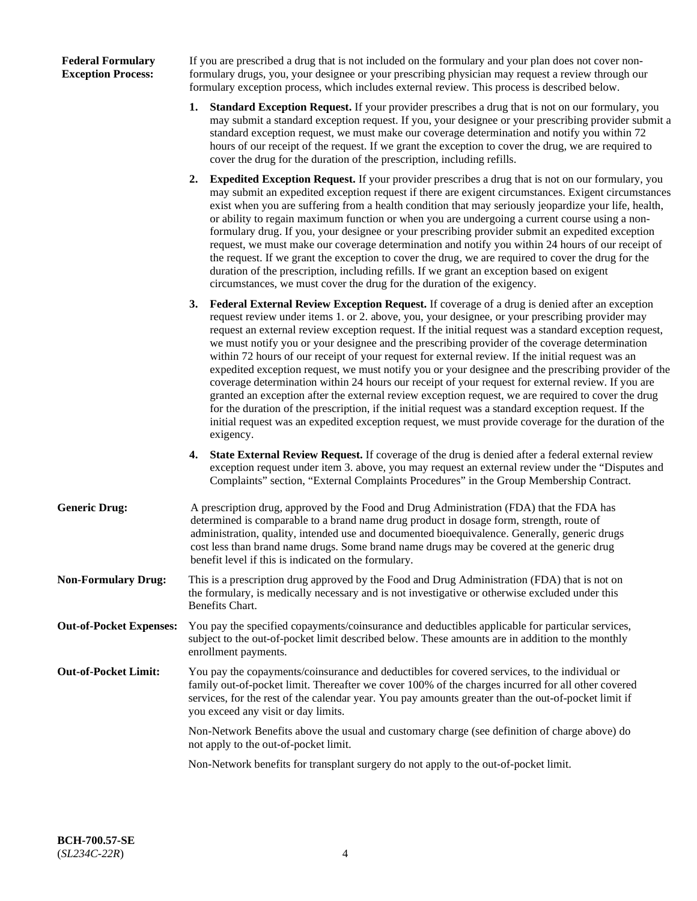## **Federal Formulary Exception Process:**

If you are prescribed a drug that is not included on the formulary and your plan does not cover nonformulary drugs, you, your designee or your prescribing physician may request a review through our formulary exception process, which includes external review. This process is described below.

- **1. Standard Exception Request.** If your provider prescribes a drug that is not on our formulary, you may submit a standard exception request. If you, your designee or your prescribing provider submit a standard exception request, we must make our coverage determination and notify you within 72 hours of our receipt of the request. If we grant the exception to cover the drug, we are required to cover the drug for the duration of the prescription, including refills.
- **2. Expedited Exception Request.** If your provider prescribes a drug that is not on our formulary, you may submit an expedited exception request if there are exigent circumstances. Exigent circumstances exist when you are suffering from a health condition that may seriously jeopardize your life, health, or ability to regain maximum function or when you are undergoing a current course using a nonformulary drug. If you, your designee or your prescribing provider submit an expedited exception request, we must make our coverage determination and notify you within 24 hours of our receipt of the request. If we grant the exception to cover the drug, we are required to cover the drug for the duration of the prescription, including refills. If we grant an exception based on exigent circumstances, we must cover the drug for the duration of the exigency.
- **3. Federal External Review Exception Request.** If coverage of a drug is denied after an exception request review under items 1. or 2. above, you, your designee, or your prescribing provider may request an external review exception request. If the initial request was a standard exception request, we must notify you or your designee and the prescribing provider of the coverage determination within 72 hours of our receipt of your request for external review. If the initial request was an expedited exception request, we must notify you or your designee and the prescribing provider of the coverage determination within 24 hours our receipt of your request for external review. If you are granted an exception after the external review exception request, we are required to cover the drug for the duration of the prescription, if the initial request was a standard exception request. If the initial request was an expedited exception request, we must provide coverage for the duration of the exigency.
- **4. State External Review Request.** If coverage of the drug is denied after a federal external review exception request under item 3. above, you may request an external review under the "Disputes and Complaints" section, "External Complaints Procedures" in the Group Membership Contract.
- **Generic Drug:** A prescription drug, approved by the Food and Drug Administration (FDA) that the FDA has determined is comparable to a brand name drug product in dosage form, strength, route of administration, quality, intended use and documented bioequivalence. Generally, generic drugs cost less than brand name drugs. Some brand name drugs may be covered at the generic drug benefit level if this is indicated on the formulary.
- **Non-Formulary Drug:** This is a prescription drug approved by the Food and Drug Administration (FDA) that is not on the formulary, is medically necessary and is not investigative or otherwise excluded under this Benefits Chart.
- **Out-of-Pocket Expenses:** You pay the specified copayments/coinsurance and deductibles applicable for particular services, subject to the out-of-pocket limit described below. These amounts are in addition to the monthly enrollment payments.
- **Out-of-Pocket Limit:** You pay the copayments/coinsurance and deductibles for covered services, to the individual or family out-of-pocket limit. Thereafter we cover 100% of the charges incurred for all other covered services, for the rest of the calendar year. You pay amounts greater than the out-of-pocket limit if you exceed any visit or day limits.

Non-Network Benefits above the usual and customary charge (see definition of charge above) do not apply to the out-of-pocket limit.

Non-Network benefits for transplant surgery do not apply to the out-of-pocket limit.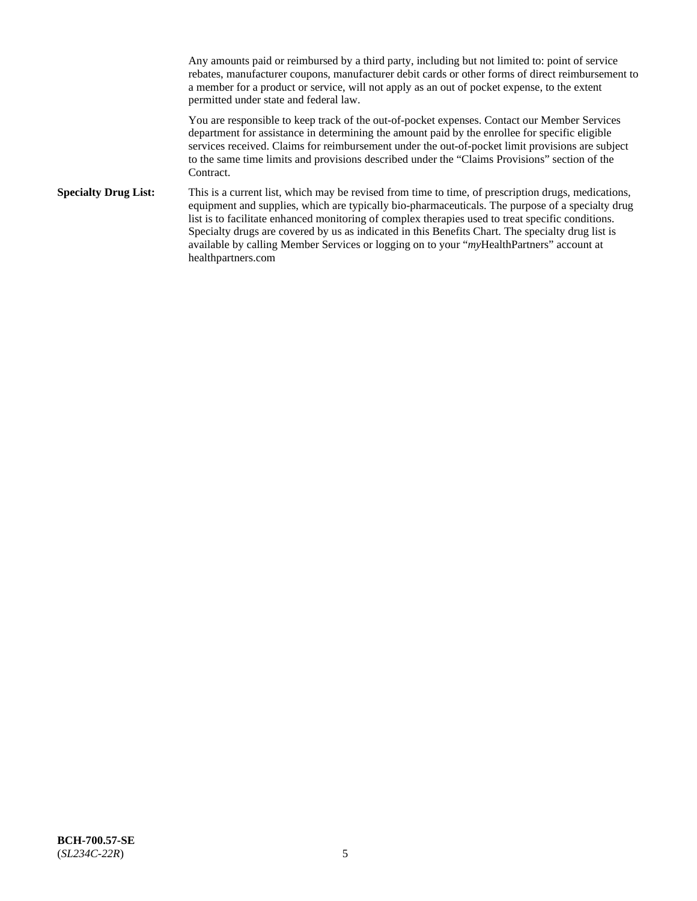Any amounts paid or reimbursed by a third party, including but not limited to: point of service rebates, manufacturer coupons, manufacturer debit cards or other forms of direct reimbursement to a member for a product or service, will not apply as an out of pocket expense, to the extent permitted under state and federal law.

You are responsible to keep track of the out-of-pocket expenses. Contact our Member Services department for assistance in determining the amount paid by the enrollee for specific eligible services received. Claims for reimbursement under the out-of-pocket limit provisions are subject to the same time limits and provisions described under the "Claims Provisions" section of the Contract.

**Specialty Drug List:** This is a current list, which may be revised from time to time, of prescription drugs, medications, equipment and supplies, which are typically bio-pharmaceuticals. The purpose of a specialty drug list is to facilitate enhanced monitoring of complex therapies used to treat specific conditions. Specialty drugs are covered by us as indicated in this Benefits Chart. The specialty drug list is available by calling Member Services or logging on to your "*my*HealthPartners" account at [healthpartners.com](https://www.healthpartners.com/hp/index.html)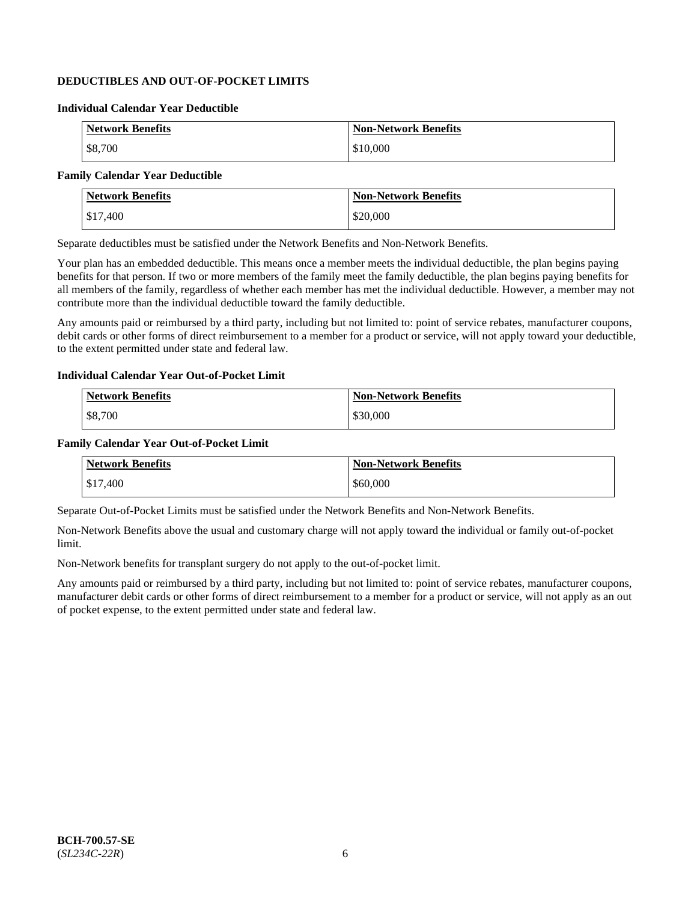## **DEDUCTIBLES AND OUT-OF-POCKET LIMITS**

## **Individual Calendar Year Deductible**

| <b>Network Benefits</b> | <b>Non-Network Benefits</b> |
|-------------------------|-----------------------------|
| \$8,700                 | \$10,000                    |

## **Family Calendar Year Deductible**

| <b>Network Benefits</b> | <b>Non-Network Benefits</b> |
|-------------------------|-----------------------------|
| \$17,400                | \$20,000                    |

Separate deductibles must be satisfied under the Network Benefits and Non-Network Benefits.

Your plan has an embedded deductible. This means once a member meets the individual deductible, the plan begins paying benefits for that person. If two or more members of the family meet the family deductible, the plan begins paying benefits for all members of the family, regardless of whether each member has met the individual deductible. However, a member may not contribute more than the individual deductible toward the family deductible.

Any amounts paid or reimbursed by a third party, including but not limited to: point of service rebates, manufacturer coupons, debit cards or other forms of direct reimbursement to a member for a product or service, will not apply toward your deductible, to the extent permitted under state and federal law.

#### **Individual Calendar Year Out-of-Pocket Limit**

| <b>Network Benefits</b> | <b>Non-Network Benefits</b> |
|-------------------------|-----------------------------|
| \$8,700                 | \$30,000                    |

#### **Family Calendar Year Out-of-Pocket Limit**

| <b>Network Benefits</b> | <b>Non-Network Benefits</b> |
|-------------------------|-----------------------------|
| \$17,400                | \$60,000                    |

Separate Out-of-Pocket Limits must be satisfied under the Network Benefits and Non-Network Benefits.

Non-Network Benefits above the usual and customary charge will not apply toward the individual or family out-of-pocket limit.

Non-Network benefits for transplant surgery do not apply to the out-of-pocket limit.

Any amounts paid or reimbursed by a third party, including but not limited to: point of service rebates, manufacturer coupons, manufacturer debit cards or other forms of direct reimbursement to a member for a product or service, will not apply as an out of pocket expense, to the extent permitted under state and federal law.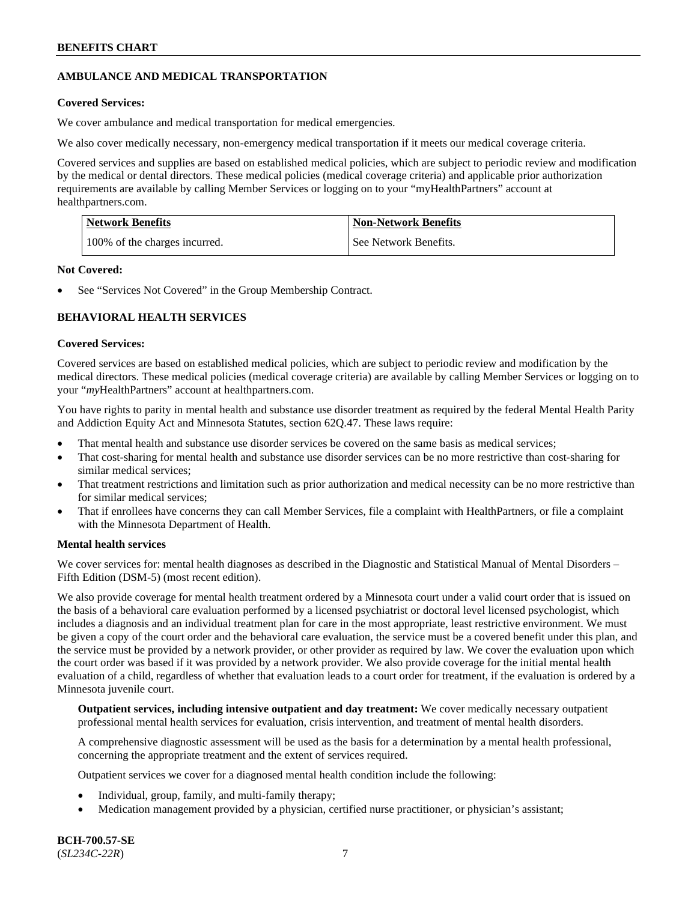## **AMBULANCE AND MEDICAL TRANSPORTATION**

## **Covered Services:**

We cover ambulance and medical transportation for medical emergencies.

We also cover medically necessary, non-emergency medical transportation if it meets our medical coverage criteria.

Covered services and supplies are based on established medical policies, which are subject to periodic review and modification by the medical or dental directors. These medical policies (medical coverage criteria) and applicable prior authorization requirements are available by calling Member Services or logging on to your "myHealthPartners" account at [healthpartners.com.](https://www.healthpartners.com/hp/index.html)

| Network Benefits              | <b>Non-Network Benefits</b> |
|-------------------------------|-----------------------------|
| 100% of the charges incurred. | See Network Benefits.       |

## **Not Covered:**

See "Services Not Covered" in the Group Membership Contract.

## **BEHAVIORAL HEALTH SERVICES**

## **Covered Services:**

Covered services are based on established medical policies, which are subject to periodic review and modification by the medical directors. These medical policies (medical coverage criteria) are available by calling Member Services or logging on to your "*my*HealthPartners" account at [healthpartners.com.](http://www.healthpartners.com/)

You have rights to parity in mental health and substance use disorder treatment as required by the federal Mental Health Parity and Addiction Equity Act and Minnesota Statutes, section 62Q.47. These laws require:

- That mental health and substance use disorder services be covered on the same basis as medical services;
- That cost-sharing for mental health and substance use disorder services can be no more restrictive than cost-sharing for similar medical services;
- That treatment restrictions and limitation such as prior authorization and medical necessity can be no more restrictive than for similar medical services;
- That if enrollees have concerns they can call Member Services, file a complaint with HealthPartners, or file a complaint with the Minnesota Department of Health.

## **Mental health services**

We cover services for: mental health diagnoses as described in the Diagnostic and Statistical Manual of Mental Disorders – Fifth Edition (DSM-5) (most recent edition).

We also provide coverage for mental health treatment ordered by a Minnesota court under a valid court order that is issued on the basis of a behavioral care evaluation performed by a licensed psychiatrist or doctoral level licensed psychologist, which includes a diagnosis and an individual treatment plan for care in the most appropriate, least restrictive environment. We must be given a copy of the court order and the behavioral care evaluation, the service must be a covered benefit under this plan, and the service must be provided by a network provider, or other provider as required by law. We cover the evaluation upon which the court order was based if it was provided by a network provider. We also provide coverage for the initial mental health evaluation of a child, regardless of whether that evaluation leads to a court order for treatment, if the evaluation is ordered by a Minnesota juvenile court.

**Outpatient services, including intensive outpatient and day treatment:** We cover medically necessary outpatient professional mental health services for evaluation, crisis intervention, and treatment of mental health disorders.

A comprehensive diagnostic assessment will be used as the basis for a determination by a mental health professional, concerning the appropriate treatment and the extent of services required.

Outpatient services we cover for a diagnosed mental health condition include the following:

- Individual, group, family, and multi-family therapy;
- Medication management provided by a physician, certified nurse practitioner, or physician's assistant;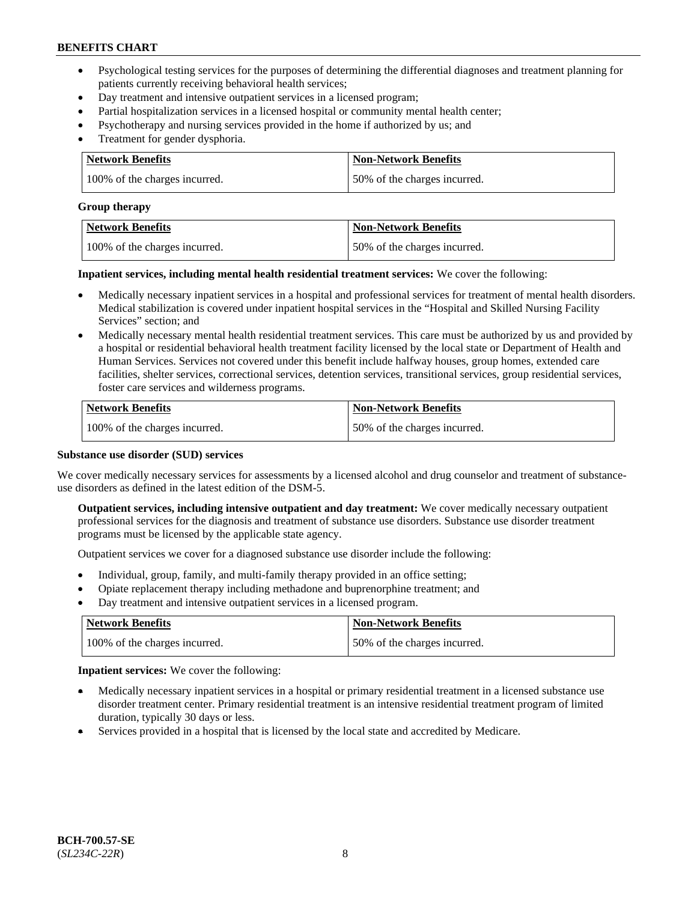- Psychological testing services for the purposes of determining the differential diagnoses and treatment planning for patients currently receiving behavioral health services;
- Day treatment and intensive outpatient services in a licensed program;
- Partial hospitalization services in a licensed hospital or community mental health center;
- Psychotherapy and nursing services provided in the home if authorized by us; and
- Treatment for gender dysphoria.

| Network Benefits              | <b>Non-Network Benefits</b>  |
|-------------------------------|------------------------------|
| 100% of the charges incurred. | 50% of the charges incurred. |

#### **Group therapy**

| Network Benefits              | Non-Network Benefits         |
|-------------------------------|------------------------------|
| 100% of the charges incurred. | 50% of the charges incurred. |

**Inpatient services, including mental health residential treatment services:** We cover the following:

- Medically necessary inpatient services in a hospital and professional services for treatment of mental health disorders. Medical stabilization is covered under inpatient hospital services in the "Hospital and Skilled Nursing Facility Services" section; and
- Medically necessary mental health residential treatment services. This care must be authorized by us and provided by a hospital or residential behavioral health treatment facility licensed by the local state or Department of Health and Human Services. Services not covered under this benefit include halfway houses, group homes, extended care facilities, shelter services, correctional services, detention services, transitional services, group residential services, foster care services and wilderness programs.

| <b>Network Benefits</b>       | <b>Non-Network Benefits</b>  |
|-------------------------------|------------------------------|
| 100% of the charges incurred. | 50% of the charges incurred. |

### **Substance use disorder (SUD) services**

We cover medically necessary services for assessments by a licensed alcohol and drug counselor and treatment of substanceuse disorders as defined in the latest edition of the DSM-5.

**Outpatient services, including intensive outpatient and day treatment:** We cover medically necessary outpatient professional services for the diagnosis and treatment of substance use disorders. Substance use disorder treatment programs must be licensed by the applicable state agency.

Outpatient services we cover for a diagnosed substance use disorder include the following:

- Individual, group, family, and multi-family therapy provided in an office setting;
- Opiate replacement therapy including methadone and buprenorphine treatment; and
- Day treatment and intensive outpatient services in a licensed program.

| Network Benefits              | <b>Non-Network Benefits</b>  |
|-------------------------------|------------------------------|
| 100% of the charges incurred. | 50% of the charges incurred. |

**Inpatient services:** We cover the following:

- Medically necessary inpatient services in a hospital or primary residential treatment in a licensed substance use disorder treatment center. Primary residential treatment is an intensive residential treatment program of limited duration, typically 30 days or less.
- Services provided in a hospital that is licensed by the local state and accredited by Medicare.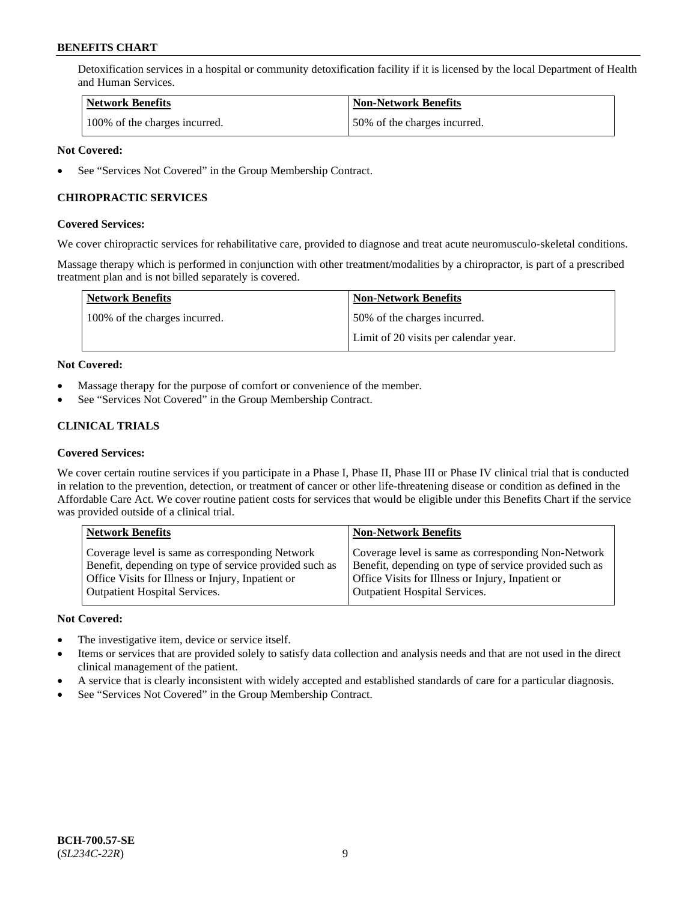Detoxification services in a hospital or community detoxification facility if it is licensed by the local Department of Health and Human Services.

| Network Benefits              | <b>Non-Network Benefits</b>  |
|-------------------------------|------------------------------|
| 100% of the charges incurred. | 50% of the charges incurred. |

### **Not Covered:**

See "Services Not Covered" in the Group Membership Contract.

## **CHIROPRACTIC SERVICES**

#### **Covered Services:**

We cover chiropractic services for rehabilitative care, provided to diagnose and treat acute neuromusculo-skeletal conditions.

Massage therapy which is performed in conjunction with other treatment/modalities by a chiropractor, is part of a prescribed treatment plan and is not billed separately is covered.

| <b>Network Benefits</b>       | <b>Non-Network Benefits</b>           |
|-------------------------------|---------------------------------------|
| 100% of the charges incurred. | 50% of the charges incurred.          |
|                               | Limit of 20 visits per calendar year. |

#### **Not Covered:**

- Massage therapy for the purpose of comfort or convenience of the member.
- See "Services Not Covered" in the Group Membership Contract.

## **CLINICAL TRIALS**

### **Covered Services:**

We cover certain routine services if you participate in a Phase I, Phase II, Phase III or Phase IV clinical trial that is conducted in relation to the prevention, detection, or treatment of cancer or other life-threatening disease or condition as defined in the Affordable Care Act. We cover routine patient costs for services that would be eligible under this Benefits Chart if the service was provided outside of a clinical trial.

| <b>Network Benefits</b>                                | <b>Non-Network Benefits</b>                            |
|--------------------------------------------------------|--------------------------------------------------------|
| Coverage level is same as corresponding Network        | Coverage level is same as corresponding Non-Network    |
| Benefit, depending on type of service provided such as | Benefit, depending on type of service provided such as |
| Office Visits for Illness or Injury, Inpatient or      | Office Visits for Illness or Injury, Inpatient or      |
| <b>Outpatient Hospital Services.</b>                   | <b>Outpatient Hospital Services.</b>                   |

## **Not Covered:**

- The investigative item, device or service itself.
- Items or services that are provided solely to satisfy data collection and analysis needs and that are not used in the direct clinical management of the patient.
- A service that is clearly inconsistent with widely accepted and established standards of care for a particular diagnosis.
- See "Services Not Covered" in the Group Membership Contract.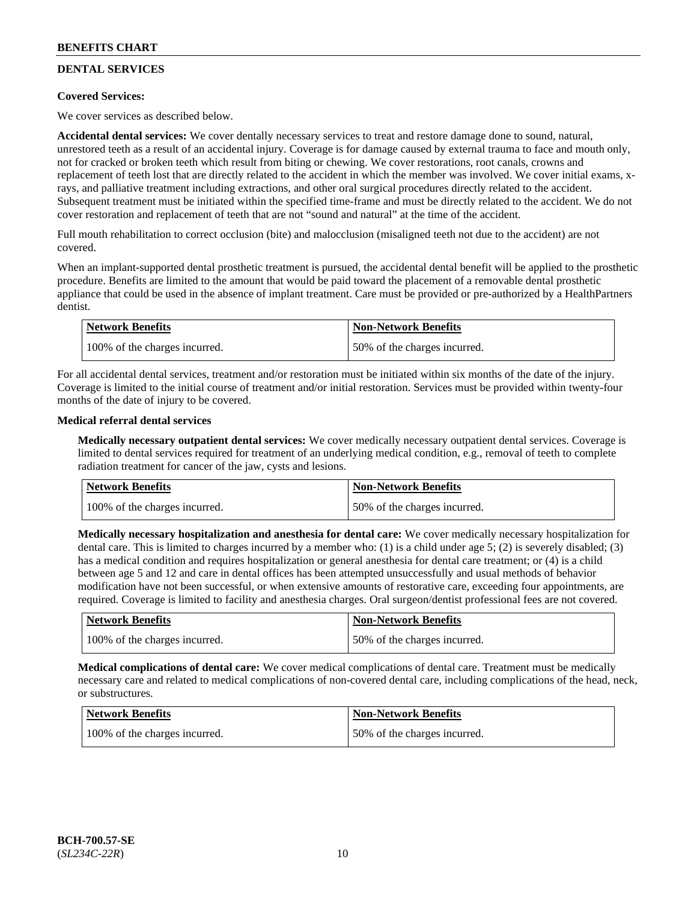## **DENTAL SERVICES**

## **Covered Services:**

We cover services as described below.

**Accidental dental services:** We cover dentally necessary services to treat and restore damage done to sound, natural, unrestored teeth as a result of an accidental injury. Coverage is for damage caused by external trauma to face and mouth only, not for cracked or broken teeth which result from biting or chewing. We cover restorations, root canals, crowns and replacement of teeth lost that are directly related to the accident in which the member was involved. We cover initial exams, xrays, and palliative treatment including extractions, and other oral surgical procedures directly related to the accident. Subsequent treatment must be initiated within the specified time-frame and must be directly related to the accident. We do not cover restoration and replacement of teeth that are not "sound and natural" at the time of the accident.

Full mouth rehabilitation to correct occlusion (bite) and malocclusion (misaligned teeth not due to the accident) are not covered.

When an implant-supported dental prosthetic treatment is pursued, the accidental dental benefit will be applied to the prosthetic procedure. Benefits are limited to the amount that would be paid toward the placement of a removable dental prosthetic appliance that could be used in the absence of implant treatment. Care must be provided or pre-authorized by a HealthPartners dentist.

| Network Benefits              | <b>Non-Network Benefits</b>  |
|-------------------------------|------------------------------|
| 100% of the charges incurred. | 50% of the charges incurred. |

For all accidental dental services, treatment and/or restoration must be initiated within six months of the date of the injury. Coverage is limited to the initial course of treatment and/or initial restoration. Services must be provided within twenty-four months of the date of injury to be covered.

## **Medical referral dental services**

**Medically necessary outpatient dental services:** We cover medically necessary outpatient dental services. Coverage is limited to dental services required for treatment of an underlying medical condition, e.g., removal of teeth to complete radiation treatment for cancer of the jaw, cysts and lesions.

| Network Benefits              | <b>Non-Network Benefits</b>  |
|-------------------------------|------------------------------|
| 100% of the charges incurred. | 50% of the charges incurred. |

**Medically necessary hospitalization and anesthesia for dental care:** We cover medically necessary hospitalization for dental care. This is limited to charges incurred by a member who: (1) is a child under age 5; (2) is severely disabled; (3) has a medical condition and requires hospitalization or general anesthesia for dental care treatment; or (4) is a child between age 5 and 12 and care in dental offices has been attempted unsuccessfully and usual methods of behavior modification have not been successful, or when extensive amounts of restorative care, exceeding four appointments, are required. Coverage is limited to facility and anesthesia charges. Oral surgeon/dentist professional fees are not covered.

| <b>Network Benefits</b>       | <b>Non-Network Benefits</b>  |
|-------------------------------|------------------------------|
| 100% of the charges incurred. | 50% of the charges incurred. |

**Medical complications of dental care:** We cover medical complications of dental care. Treatment must be medically necessary care and related to medical complications of non-covered dental care, including complications of the head, neck, or substructures.

| Network Benefits              | <b>Non-Network Benefits</b>  |
|-------------------------------|------------------------------|
| 100% of the charges incurred. | 50% of the charges incurred. |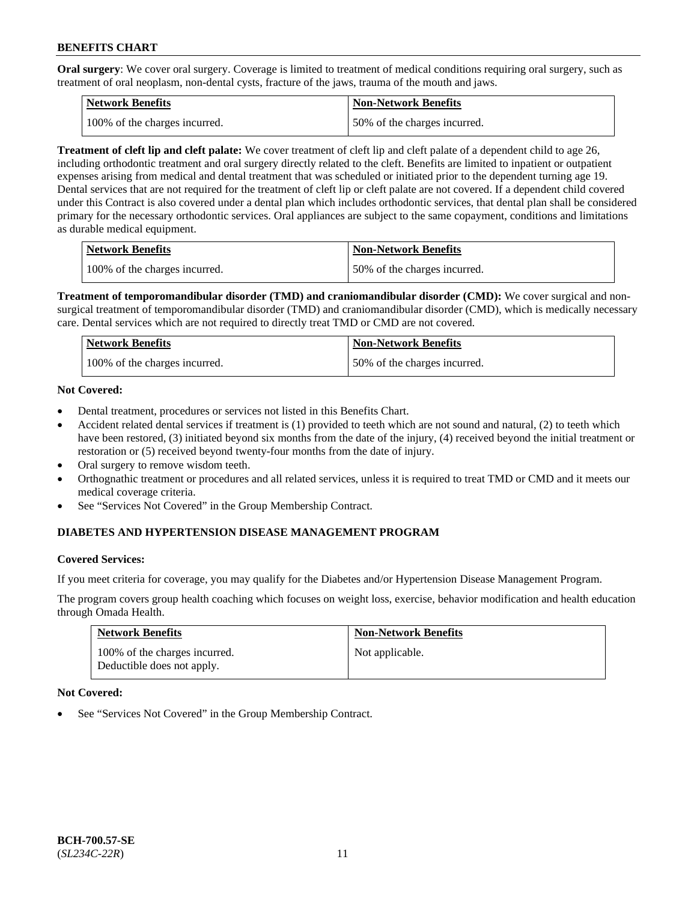**Oral surgery**: We cover oral surgery. Coverage is limited to treatment of medical conditions requiring oral surgery, such as treatment of oral neoplasm, non-dental cysts, fracture of the jaws, trauma of the mouth and jaws.

| Network Benefits              | <b>Non-Network Benefits</b>  |
|-------------------------------|------------------------------|
| 100% of the charges incurred. | 50% of the charges incurred. |

**Treatment of cleft lip and cleft palate:** We cover treatment of cleft lip and cleft palate of a dependent child to age 26, including orthodontic treatment and oral surgery directly related to the cleft. Benefits are limited to inpatient or outpatient expenses arising from medical and dental treatment that was scheduled or initiated prior to the dependent turning age 19. Dental services that are not required for the treatment of cleft lip or cleft palate are not covered. If a dependent child covered under this Contract is also covered under a dental plan which includes orthodontic services, that dental plan shall be considered primary for the necessary orthodontic services. Oral appliances are subject to the same copayment, conditions and limitations as durable medical equipment.

| <b>Network Benefits</b>       | <b>Non-Network Benefits</b>  |
|-------------------------------|------------------------------|
| 100% of the charges incurred. | 50% of the charges incurred. |

**Treatment of temporomandibular disorder (TMD) and craniomandibular disorder (CMD):** We cover surgical and nonsurgical treatment of temporomandibular disorder (TMD) and craniomandibular disorder (CMD), which is medically necessary care. Dental services which are not required to directly treat TMD or CMD are not covered.

| Network Benefits              | <b>Non-Network Benefits</b>  |
|-------------------------------|------------------------------|
| 100% of the charges incurred. | 50% of the charges incurred. |

## **Not Covered:**

- Dental treatment, procedures or services not listed in this Benefits Chart.
- Accident related dental services if treatment is (1) provided to teeth which are not sound and natural, (2) to teeth which have been restored, (3) initiated beyond six months from the date of the injury, (4) received beyond the initial treatment or restoration or (5) received beyond twenty-four months from the date of injury.
- Oral surgery to remove wisdom teeth.
- Orthognathic treatment or procedures and all related services, unless it is required to treat TMD or CMD and it meets our medical coverage criteria.
- See "Services Not Covered" in the Group Membership Contract.

## **DIABETES AND HYPERTENSION DISEASE MANAGEMENT PROGRAM**

#### **Covered Services:**

If you meet criteria for coverage, you may qualify for the Diabetes and/or Hypertension Disease Management Program.

The program covers group health coaching which focuses on weight loss, exercise, behavior modification and health education through Omada Health.

| <b>Network Benefits</b>                                     | <b>Non-Network Benefits</b> |
|-------------------------------------------------------------|-----------------------------|
| 100% of the charges incurred.<br>Deductible does not apply. | Not applicable.             |

#### **Not Covered:**

See "Services Not Covered" in the Group Membership Contract.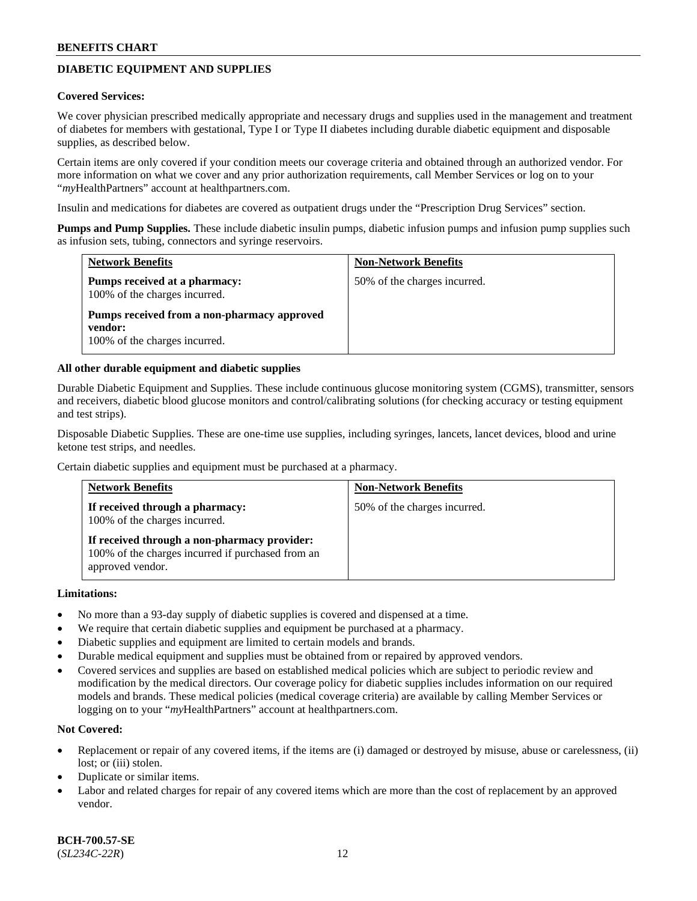## **DIABETIC EQUIPMENT AND SUPPLIES**

#### **Covered Services:**

We cover physician prescribed medically appropriate and necessary drugs and supplies used in the management and treatment of diabetes for members with gestational, Type I or Type II diabetes including durable diabetic equipment and disposable supplies, as described below.

Certain items are only covered if your condition meets our coverage criteria and obtained through an authorized vendor. For more information on what we cover and any prior authorization requirements, call Member Services or log on to your "*my*HealthPartners" account at [healthpartners.com.](http://www.healthpartners.com/)

Insulin and medications for diabetes are covered as outpatient drugs under the "Prescription Drug Services" section.

**Pumps and Pump Supplies.** These include diabetic insulin pumps, diabetic infusion pumps and infusion pump supplies such as infusion sets, tubing, connectors and syringe reservoirs.

| <b>Network Benefits</b>                                                                 | <b>Non-Network Benefits</b>  |
|-----------------------------------------------------------------------------------------|------------------------------|
| Pumps received at a pharmacy:<br>100% of the charges incurred.                          | 50% of the charges incurred. |
| Pumps received from a non-pharmacy approved<br>vendor:<br>100% of the charges incurred. |                              |

#### **All other durable equipment and diabetic supplies**

Durable Diabetic Equipment and Supplies. These include continuous glucose monitoring system (CGMS), transmitter, sensors and receivers, diabetic blood glucose monitors and control/calibrating solutions (for checking accuracy or testing equipment and test strips).

Disposable Diabetic Supplies. These are one-time use supplies, including syringes, lancets, lancet devices, blood and urine ketone test strips, and needles.

Certain diabetic supplies and equipment must be purchased at a pharmacy.

| <b>Network Benefits</b>                                                                                               | <b>Non-Network Benefits</b>  |
|-----------------------------------------------------------------------------------------------------------------------|------------------------------|
| If received through a pharmacy:<br>100% of the charges incurred.                                                      | 50% of the charges incurred. |
| If received through a non-pharmacy provider:<br>100% of the charges incurred if purchased from an<br>approved vendor. |                              |

#### **Limitations:**

- No more than a 93-day supply of diabetic supplies is covered and dispensed at a time.
- We require that certain diabetic supplies and equipment be purchased at a pharmacy.
- Diabetic supplies and equipment are limited to certain models and brands.
- Durable medical equipment and supplies must be obtained from or repaired by approved vendors.
- Covered services and supplies are based on established medical policies which are subject to periodic review and modification by the medical directors. Our coverage policy for diabetic supplies includes information on our required models and brands. These medical policies (medical coverage criteria) are available by calling Member Services or logging on to your "*my*HealthPartners" account at [healthpartners.com.](http://www.healthpartners.com/)

## **Not Covered:**

- Replacement or repair of any covered items, if the items are (i) damaged or destroyed by misuse, abuse or carelessness, (ii) lost; or (iii) stolen.
- Duplicate or similar items.
- Labor and related charges for repair of any covered items which are more than the cost of replacement by an approved vendor.

**BCH-700.57-SE** (*SL234C-22R*) 12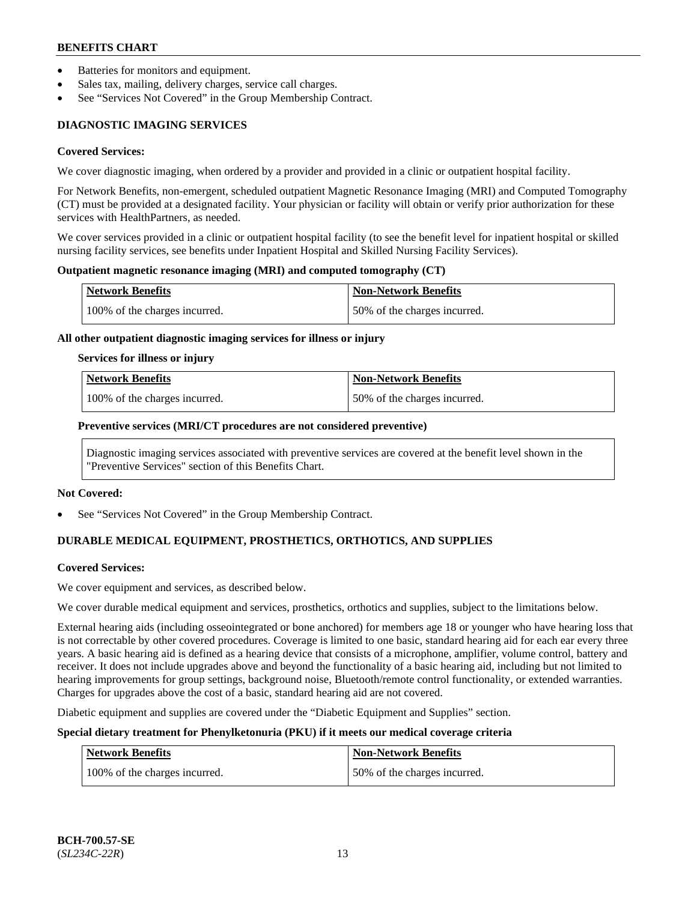- Batteries for monitors and equipment.
- Sales tax, mailing, delivery charges, service call charges.
- See "Services Not Covered" in the Group Membership Contract.

## **DIAGNOSTIC IMAGING SERVICES**

#### **Covered Services:**

We cover diagnostic imaging, when ordered by a provider and provided in a clinic or outpatient hospital facility.

For Network Benefits, non-emergent, scheduled outpatient Magnetic Resonance Imaging (MRI) and Computed Tomography (CT) must be provided at a designated facility. Your physician or facility will obtain or verify prior authorization for these services with HealthPartners, as needed.

We cover services provided in a clinic or outpatient hospital facility (to see the benefit level for inpatient hospital or skilled nursing facility services, see benefits under Inpatient Hospital and Skilled Nursing Facility Services).

#### **Outpatient magnetic resonance imaging (MRI) and computed tomography (CT)**

| Network Benefits              | <b>Non-Network Benefits</b>  |
|-------------------------------|------------------------------|
| 100% of the charges incurred. | 50% of the charges incurred. |

#### **All other outpatient diagnostic imaging services for illness or injury**

#### **Services for illness or injury**

| Network Benefits              | <b>Non-Network Benefits</b>  |
|-------------------------------|------------------------------|
| 100% of the charges incurred. | 50% of the charges incurred. |

#### **Preventive services (MRI/CT procedures are not considered preventive)**

Diagnostic imaging services associated with preventive services are covered at the benefit level shown in the "Preventive Services" section of this Benefits Chart.

#### **Not Covered:**

See "Services Not Covered" in the Group Membership Contract.

## **DURABLE MEDICAL EQUIPMENT, PROSTHETICS, ORTHOTICS, AND SUPPLIES**

#### **Covered Services:**

We cover equipment and services, as described below.

We cover durable medical equipment and services, prosthetics, orthotics and supplies, subject to the limitations below.

External hearing aids (including osseointegrated or bone anchored) for members age 18 or younger who have hearing loss that is not correctable by other covered procedures. Coverage is limited to one basic, standard hearing aid for each ear every three years. A basic hearing aid is defined as a hearing device that consists of a microphone, amplifier, volume control, battery and receiver. It does not include upgrades above and beyond the functionality of a basic hearing aid, including but not limited to hearing improvements for group settings, background noise, Bluetooth/remote control functionality, or extended warranties. Charges for upgrades above the cost of a basic, standard hearing aid are not covered.

Diabetic equipment and supplies are covered under the "Diabetic Equipment and Supplies" section.

## **Special dietary treatment for Phenylketonuria (PKU) if it meets our medical coverage criteria**

| <b>Network Benefits</b>       | Non-Network Benefits         |
|-------------------------------|------------------------------|
| 100% of the charges incurred. | 50% of the charges incurred. |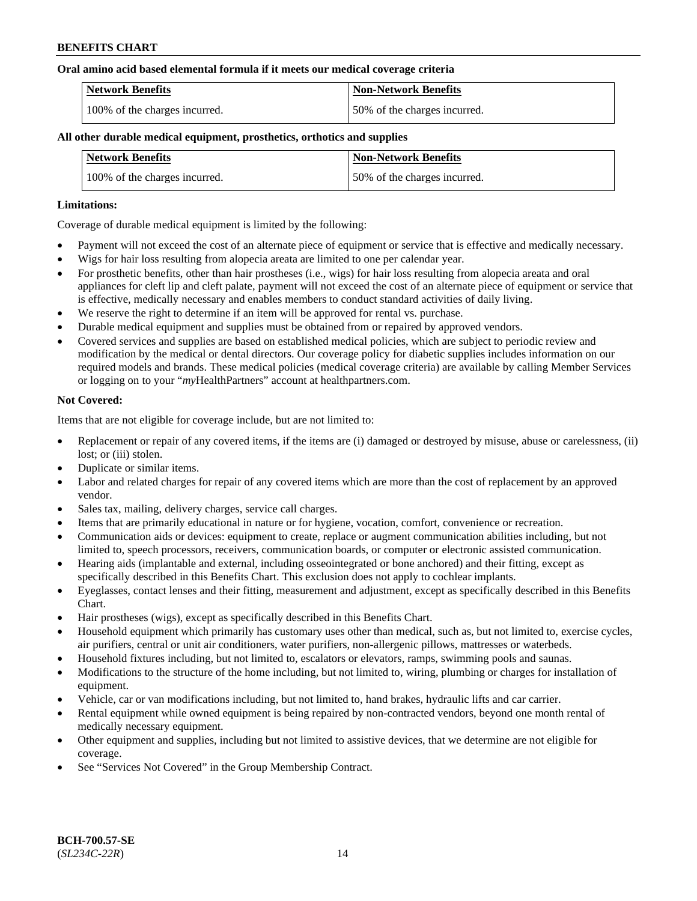#### **Oral amino acid based elemental formula if it meets our medical coverage criteria**

| Network Benefits              | <b>Non-Network Benefits</b>  |
|-------------------------------|------------------------------|
| 100% of the charges incurred. | 50% of the charges incurred. |

#### **All other durable medical equipment, prosthetics, orthotics and supplies**

| <b>Network Benefits</b>       | <b>Non-Network Benefits</b>  |
|-------------------------------|------------------------------|
| 100% of the charges incurred. | 50% of the charges incurred. |

#### **Limitations:**

Coverage of durable medical equipment is limited by the following:

- Payment will not exceed the cost of an alternate piece of equipment or service that is effective and medically necessary.
- Wigs for hair loss resulting from alopecia areata are limited to one per calendar year.
- For prosthetic benefits, other than hair prostheses (i.e., wigs) for hair loss resulting from alopecia areata and oral appliances for cleft lip and cleft palate, payment will not exceed the cost of an alternate piece of equipment or service that is effective, medically necessary and enables members to conduct standard activities of daily living.
- We reserve the right to determine if an item will be approved for rental vs. purchase.
- Durable medical equipment and supplies must be obtained from or repaired by approved vendors.
- Covered services and supplies are based on established medical policies, which are subject to periodic review and modification by the medical or dental directors. Our coverage policy for diabetic supplies includes information on our required models and brands. These medical policies (medical coverage criteria) are available by calling Member Services or logging on to your "*my*HealthPartners" account a[t healthpartners.com.](https://www.healthpartners.com/hp/index.html)

#### **Not Covered:**

Items that are not eligible for coverage include, but are not limited to:

- Replacement or repair of any covered items, if the items are (i) damaged or destroyed by misuse, abuse or carelessness, (ii) lost; or (iii) stolen.
- Duplicate or similar items.
- Labor and related charges for repair of any covered items which are more than the cost of replacement by an approved vendor.
- Sales tax, mailing, delivery charges, service call charges.
- Items that are primarily educational in nature or for hygiene, vocation, comfort, convenience or recreation.
- Communication aids or devices: equipment to create, replace or augment communication abilities including, but not limited to, speech processors, receivers, communication boards, or computer or electronic assisted communication.
- Hearing aids (implantable and external, including osseointegrated or bone anchored) and their fitting, except as specifically described in this Benefits Chart. This exclusion does not apply to cochlear implants.
- Eyeglasses, contact lenses and their fitting, measurement and adjustment, except as specifically described in this Benefits Chart.
- Hair prostheses (wigs), except as specifically described in this Benefits Chart.
- Household equipment which primarily has customary uses other than medical, such as, but not limited to, exercise cycles, air purifiers, central or unit air conditioners, water purifiers, non-allergenic pillows, mattresses or waterbeds.
- Household fixtures including, but not limited to, escalators or elevators, ramps, swimming pools and saunas.
- Modifications to the structure of the home including, but not limited to, wiring, plumbing or charges for installation of equipment.
- Vehicle, car or van modifications including, but not limited to, hand brakes, hydraulic lifts and car carrier.
- Rental equipment while owned equipment is being repaired by non-contracted vendors, beyond one month rental of medically necessary equipment.
- Other equipment and supplies, including but not limited to assistive devices, that we determine are not eligible for coverage.
- See "Services Not Covered" in the Group Membership Contract.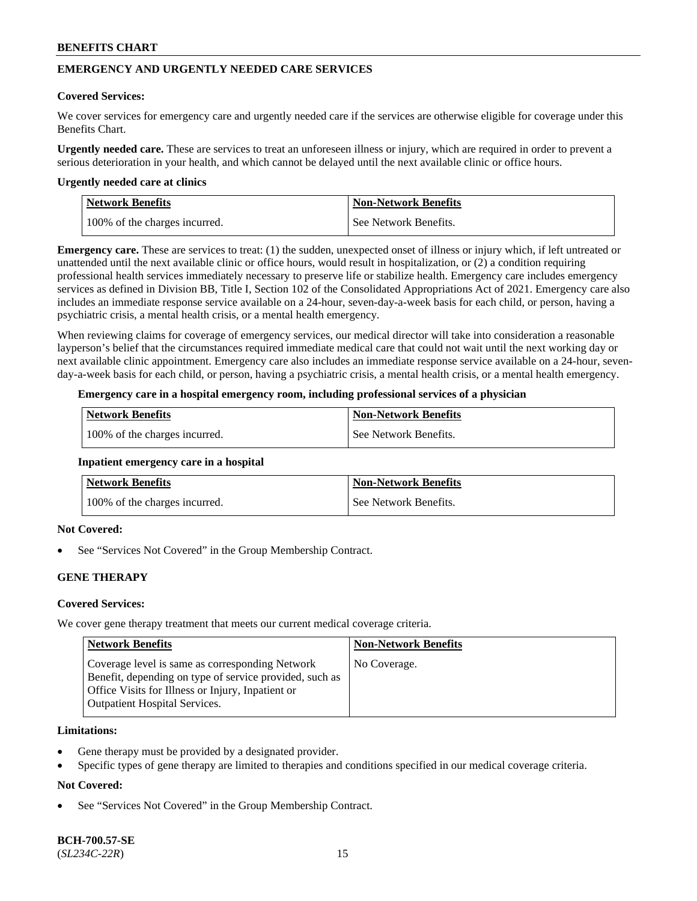## **EMERGENCY AND URGENTLY NEEDED CARE SERVICES**

#### **Covered Services:**

We cover services for emergency care and urgently needed care if the services are otherwise eligible for coverage under this Benefits Chart.

**Urgently needed care.** These are services to treat an unforeseen illness or injury, which are required in order to prevent a serious deterioration in your health, and which cannot be delayed until the next available clinic or office hours.

#### **Urgently needed care at clinics**

| Network Benefits              | <b>Non-Network Benefits</b> |
|-------------------------------|-----------------------------|
| 100% of the charges incurred. | See Network Benefits.       |

**Emergency care.** These are services to treat: (1) the sudden, unexpected onset of illness or injury which, if left untreated or unattended until the next available clinic or office hours, would result in hospitalization, or (2) a condition requiring professional health services immediately necessary to preserve life or stabilize health. Emergency care includes emergency services as defined in Division BB, Title I, Section 102 of the Consolidated Appropriations Act of 2021. Emergency care also includes an immediate response service available on a 24-hour, seven-day-a-week basis for each child, or person, having a psychiatric crisis, a mental health crisis, or a mental health emergency.

When reviewing claims for coverage of emergency services, our medical director will take into consideration a reasonable layperson's belief that the circumstances required immediate medical care that could not wait until the next working day or next available clinic appointment. Emergency care also includes an immediate response service available on a 24-hour, sevenday-a-week basis for each child, or person, having a psychiatric crisis, a mental health crisis, or a mental health emergency.

### **Emergency care in a hospital emergency room, including professional services of a physician**

| <b>Network Benefits</b>       | <b>Non-Network Benefits</b> |
|-------------------------------|-----------------------------|
| 100% of the charges incurred. | See Network Benefits.       |

#### **Inpatient emergency care in a hospital**

| <b>Network Benefits</b>       | <b>Non-Network Benefits</b> |
|-------------------------------|-----------------------------|
| 100% of the charges incurred. | See Network Benefits.       |

## **Not Covered:**

See "Services Not Covered" in the Group Membership Contract.

## **GENE THERAPY**

## **Covered Services:**

We cover gene therapy treatment that meets our current medical coverage criteria.

| Network Benefits                                                                                                                                                                                        | <b>Non-Network Benefits</b> |
|---------------------------------------------------------------------------------------------------------------------------------------------------------------------------------------------------------|-----------------------------|
| Coverage level is same as corresponding Network<br>Benefit, depending on type of service provided, such as<br>Office Visits for Illness or Injury, Inpatient or<br><b>Outpatient Hospital Services.</b> | No Coverage.                |

#### **Limitations:**

- Gene therapy must be provided by a designated provider.
- Specific types of gene therapy are limited to therapies and conditions specified in our medical coverage criteria.

## **Not Covered:**

See "Services Not Covered" in the Group Membership Contract.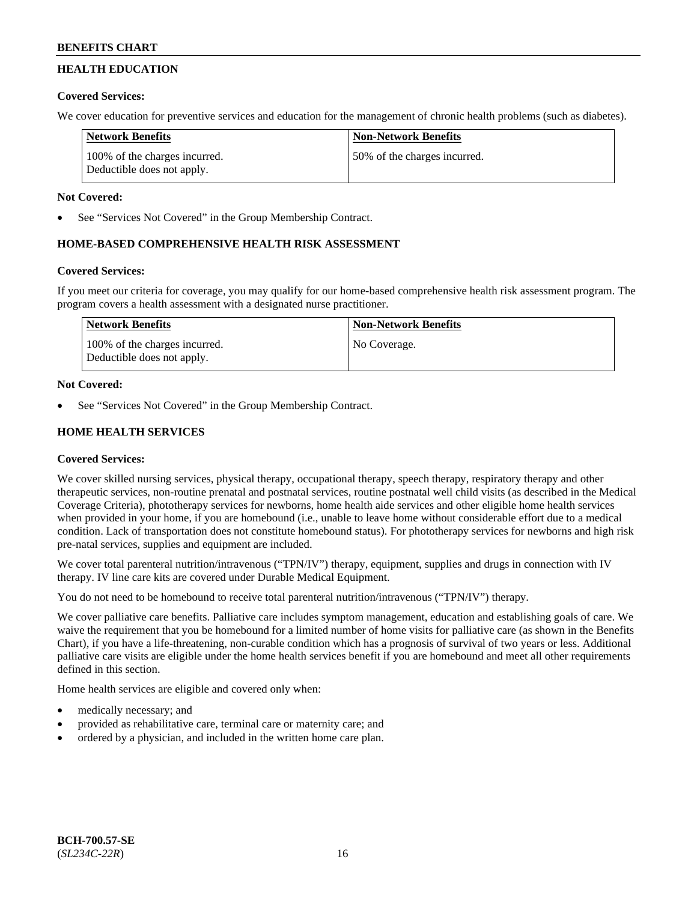## **HEALTH EDUCATION**

## **Covered Services:**

We cover education for preventive services and education for the management of chronic health problems (such as diabetes).

| <b>Network Benefits</b>                                     | <b>Non-Network Benefits</b>  |
|-------------------------------------------------------------|------------------------------|
| 100% of the charges incurred.<br>Deductible does not apply. | 50% of the charges incurred. |

## **Not Covered:**

See "Services Not Covered" in the Group Membership Contract.

## **HOME-BASED COMPREHENSIVE HEALTH RISK ASSESSMENT**

## **Covered Services:**

If you meet our criteria for coverage, you may qualify for our home-based comprehensive health risk assessment program. The program covers a health assessment with a designated nurse practitioner.

| Network Benefits                                            | <b>Non-Network Benefits</b> |
|-------------------------------------------------------------|-----------------------------|
| 100% of the charges incurred.<br>Deductible does not apply. | No Coverage.                |

## **Not Covered:**

See "Services Not Covered" in the Group Membership Contract.

## **HOME HEALTH SERVICES**

## **Covered Services:**

We cover skilled nursing services, physical therapy, occupational therapy, speech therapy, respiratory therapy and other therapeutic services, non-routine prenatal and postnatal services, routine postnatal well child visits (as described in the Medical Coverage Criteria), phototherapy services for newborns, home health aide services and other eligible home health services when provided in your home, if you are homebound (i.e., unable to leave home without considerable effort due to a medical condition. Lack of transportation does not constitute homebound status). For phototherapy services for newborns and high risk pre-natal services, supplies and equipment are included.

We cover total parenteral nutrition/intravenous ("TPN/IV") therapy, equipment, supplies and drugs in connection with IV therapy. IV line care kits are covered under Durable Medical Equipment.

You do not need to be homebound to receive total parenteral nutrition/intravenous ("TPN/IV") therapy.

We cover palliative care benefits. Palliative care includes symptom management, education and establishing goals of care. We waive the requirement that you be homebound for a limited number of home visits for palliative care (as shown in the Benefits Chart), if you have a life-threatening, non-curable condition which has a prognosis of survival of two years or less. Additional palliative care visits are eligible under the home health services benefit if you are homebound and meet all other requirements defined in this section.

Home health services are eligible and covered only when:

- medically necessary; and
- provided as rehabilitative care, terminal care or maternity care; and
- ordered by a physician, and included in the written home care plan.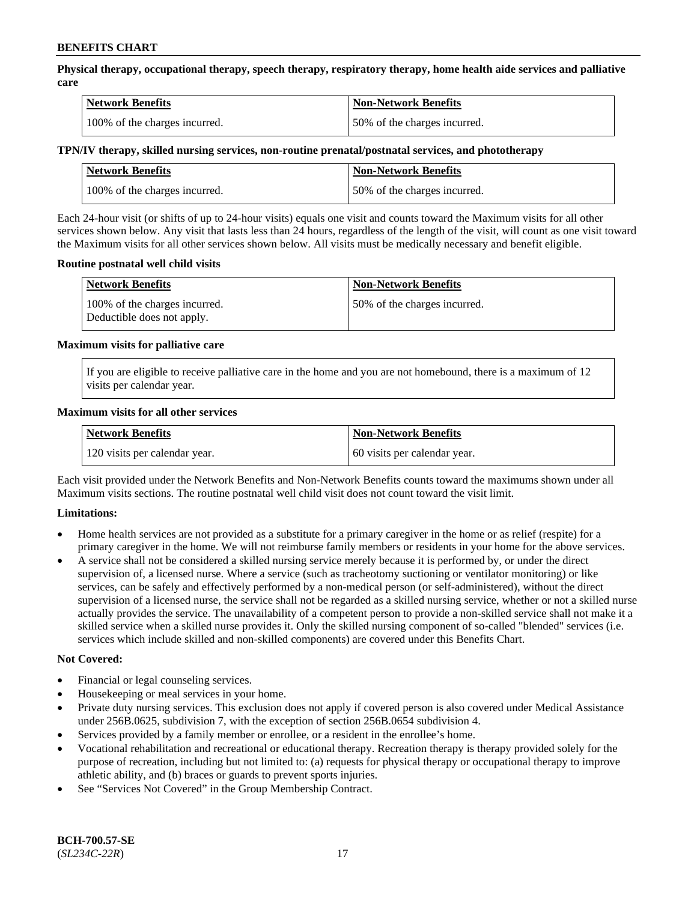**Physical therapy, occupational therapy, speech therapy, respiratory therapy, home health aide services and palliative care**

| <b>Network Benefits</b>       | <b>Non-Network Benefits</b>  |
|-------------------------------|------------------------------|
| 100% of the charges incurred. | 50% of the charges incurred. |

#### **TPN/IV therapy, skilled nursing services, non-routine prenatal/postnatal services, and phototherapy**

| Network Benefits              | <b>Non-Network Benefits</b>  |
|-------------------------------|------------------------------|
| 100% of the charges incurred. | 50% of the charges incurred. |

Each 24-hour visit (or shifts of up to 24-hour visits) equals one visit and counts toward the Maximum visits for all other services shown below. Any visit that lasts less than 24 hours, regardless of the length of the visit, will count as one visit toward the Maximum visits for all other services shown below. All visits must be medically necessary and benefit eligible.

#### **Routine postnatal well child visits**

| <b>Network Benefits</b>                                     | <b>Non-Network Benefits</b>  |
|-------------------------------------------------------------|------------------------------|
| 100% of the charges incurred.<br>Deductible does not apply. | 50% of the charges incurred. |

#### **Maximum visits for palliative care**

If you are eligible to receive palliative care in the home and you are not homebound, there is a maximum of 12 visits per calendar year.

#### **Maximum visits for all other services**

| <b>Network Benefits</b>       | <b>Non-Network Benefits</b>  |
|-------------------------------|------------------------------|
| 120 visits per calendar year. | 60 visits per calendar year. |

Each visit provided under the Network Benefits and Non-Network Benefits counts toward the maximums shown under all Maximum visits sections. The routine postnatal well child visit does not count toward the visit limit.

## **Limitations:**

- Home health services are not provided as a substitute for a primary caregiver in the home or as relief (respite) for a primary caregiver in the home. We will not reimburse family members or residents in your home for the above services.
- A service shall not be considered a skilled nursing service merely because it is performed by, or under the direct supervision of, a licensed nurse. Where a service (such as tracheotomy suctioning or ventilator monitoring) or like services, can be safely and effectively performed by a non-medical person (or self-administered), without the direct supervision of a licensed nurse, the service shall not be regarded as a skilled nursing service, whether or not a skilled nurse actually provides the service. The unavailability of a competent person to provide a non-skilled service shall not make it a skilled service when a skilled nurse provides it. Only the skilled nursing component of so-called "blended" services (i.e. services which include skilled and non-skilled components) are covered under this Benefits Chart.

#### **Not Covered:**

- Financial or legal counseling services.
- Housekeeping or meal services in your home.
- Private duty nursing services. This exclusion does not apply if covered person is also covered under Medical Assistance under 256B.0625, subdivision 7, with the exception of section 256B.0654 subdivision 4.
- Services provided by a family member or enrollee, or a resident in the enrollee's home.
- Vocational rehabilitation and recreational or educational therapy. Recreation therapy is therapy provided solely for the purpose of recreation, including but not limited to: (a) requests for physical therapy or occupational therapy to improve athletic ability, and (b) braces or guards to prevent sports injuries.
- See "Services Not Covered" in the Group Membership Contract.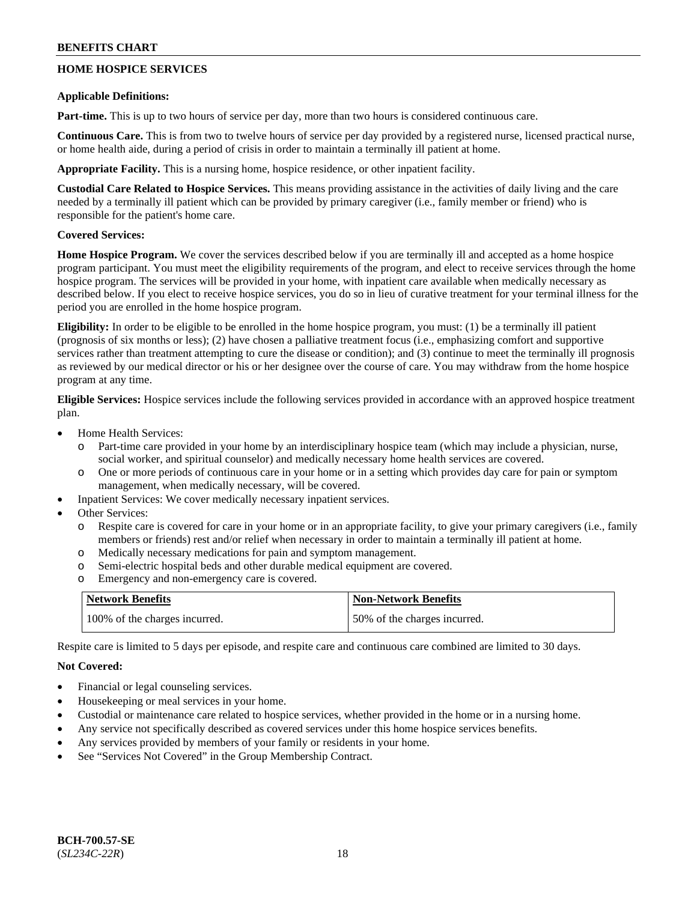## **HOME HOSPICE SERVICES**

#### **Applicable Definitions:**

**Part-time.** This is up to two hours of service per day, more than two hours is considered continuous care.

**Continuous Care.** This is from two to twelve hours of service per day provided by a registered nurse, licensed practical nurse, or home health aide, during a period of crisis in order to maintain a terminally ill patient at home.

**Appropriate Facility.** This is a nursing home, hospice residence, or other inpatient facility.

**Custodial Care Related to Hospice Services.** This means providing assistance in the activities of daily living and the care needed by a terminally ill patient which can be provided by primary caregiver (i.e., family member or friend) who is responsible for the patient's home care.

## **Covered Services:**

**Home Hospice Program.** We cover the services described below if you are terminally ill and accepted as a home hospice program participant. You must meet the eligibility requirements of the program, and elect to receive services through the home hospice program. The services will be provided in your home, with inpatient care available when medically necessary as described below. If you elect to receive hospice services, you do so in lieu of curative treatment for your terminal illness for the period you are enrolled in the home hospice program.

**Eligibility:** In order to be eligible to be enrolled in the home hospice program, you must: (1) be a terminally ill patient (prognosis of six months or less); (2) have chosen a palliative treatment focus (i.e., emphasizing comfort and supportive services rather than treatment attempting to cure the disease or condition); and (3) continue to meet the terminally ill prognosis as reviewed by our medical director or his or her designee over the course of care. You may withdraw from the home hospice program at any time.

**Eligible Services:** Hospice services include the following services provided in accordance with an approved hospice treatment plan.

- Home Health Services:
	- o Part-time care provided in your home by an interdisciplinary hospice team (which may include a physician, nurse, social worker, and spiritual counselor) and medically necessary home health services are covered.
	- o One or more periods of continuous care in your home or in a setting which provides day care for pain or symptom management, when medically necessary, will be covered.
- Inpatient Services: We cover medically necessary inpatient services.
- Other Services:
	- o Respite care is covered for care in your home or in an appropriate facility, to give your primary caregivers (i.e., family members or friends) rest and/or relief when necessary in order to maintain a terminally ill patient at home.
	- o Medically necessary medications for pain and symptom management.
	- o Semi-electric hospital beds and other durable medical equipment are covered.
	- o Emergency and non-emergency care is covered.

| <b>Network Benefits</b>       | <b>Non-Network Benefits</b>  |
|-------------------------------|------------------------------|
| 100% of the charges incurred. | 50% of the charges incurred. |

Respite care is limited to 5 days per episode, and respite care and continuous care combined are limited to 30 days.

## **Not Covered:**

- Financial or legal counseling services.
- Housekeeping or meal services in your home.
- Custodial or maintenance care related to hospice services, whether provided in the home or in a nursing home.
- Any service not specifically described as covered services under this home hospice services benefits.
- Any services provided by members of your family or residents in your home.
- See "Services Not Covered" in the Group Membership Contract.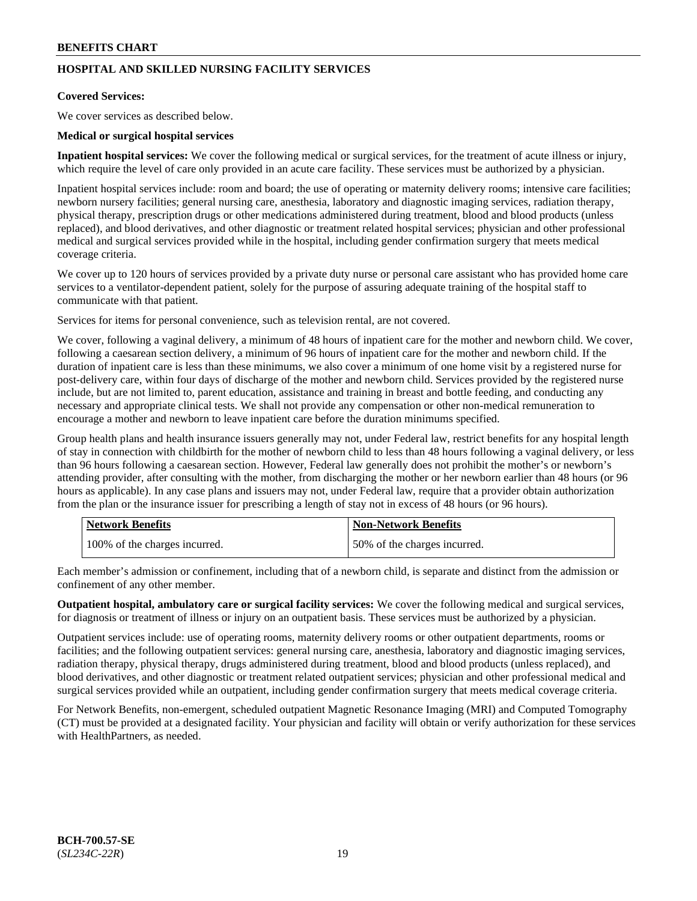## **HOSPITAL AND SKILLED NURSING FACILITY SERVICES**

#### **Covered Services:**

We cover services as described below.

### **Medical or surgical hospital services**

**Inpatient hospital services:** We cover the following medical or surgical services, for the treatment of acute illness or injury, which require the level of care only provided in an acute care facility. These services must be authorized by a physician.

Inpatient hospital services include: room and board; the use of operating or maternity delivery rooms; intensive care facilities; newborn nursery facilities; general nursing care, anesthesia, laboratory and diagnostic imaging services, radiation therapy, physical therapy, prescription drugs or other medications administered during treatment, blood and blood products (unless replaced), and blood derivatives, and other diagnostic or treatment related hospital services; physician and other professional medical and surgical services provided while in the hospital, including gender confirmation surgery that meets medical coverage criteria.

We cover up to 120 hours of services provided by a private duty nurse or personal care assistant who has provided home care services to a ventilator-dependent patient, solely for the purpose of assuring adequate training of the hospital staff to communicate with that patient.

Services for items for personal convenience, such as television rental, are not covered.

We cover, following a vaginal delivery, a minimum of 48 hours of inpatient care for the mother and newborn child. We cover, following a caesarean section delivery, a minimum of 96 hours of inpatient care for the mother and newborn child. If the duration of inpatient care is less than these minimums, we also cover a minimum of one home visit by a registered nurse for post-delivery care, within four days of discharge of the mother and newborn child. Services provided by the registered nurse include, but are not limited to, parent education, assistance and training in breast and bottle feeding, and conducting any necessary and appropriate clinical tests. We shall not provide any compensation or other non-medical remuneration to encourage a mother and newborn to leave inpatient care before the duration minimums specified.

Group health plans and health insurance issuers generally may not, under Federal law, restrict benefits for any hospital length of stay in connection with childbirth for the mother of newborn child to less than 48 hours following a vaginal delivery, or less than 96 hours following a caesarean section. However, Federal law generally does not prohibit the mother's or newborn's attending provider, after consulting with the mother, from discharging the mother or her newborn earlier than 48 hours (or 96 hours as applicable). In any case plans and issuers may not, under Federal law, require that a provider obtain authorization from the plan or the insurance issuer for prescribing a length of stay not in excess of 48 hours (or 96 hours).

| <b>Network Benefits</b>       | <b>Non-Network Benefits</b>  |
|-------------------------------|------------------------------|
| 100% of the charges incurred. | 50% of the charges incurred. |

Each member's admission or confinement, including that of a newborn child, is separate and distinct from the admission or confinement of any other member.

**Outpatient hospital, ambulatory care or surgical facility services:** We cover the following medical and surgical services, for diagnosis or treatment of illness or injury on an outpatient basis. These services must be authorized by a physician.

Outpatient services include: use of operating rooms, maternity delivery rooms or other outpatient departments, rooms or facilities; and the following outpatient services: general nursing care, anesthesia, laboratory and diagnostic imaging services, radiation therapy, physical therapy, drugs administered during treatment, blood and blood products (unless replaced), and blood derivatives, and other diagnostic or treatment related outpatient services; physician and other professional medical and surgical services provided while an outpatient, including gender confirmation surgery that meets medical coverage criteria.

For Network Benefits, non-emergent, scheduled outpatient Magnetic Resonance Imaging (MRI) and Computed Tomography (CT) must be provided at a designated facility. Your physician and facility will obtain or verify authorization for these services with HealthPartners, as needed.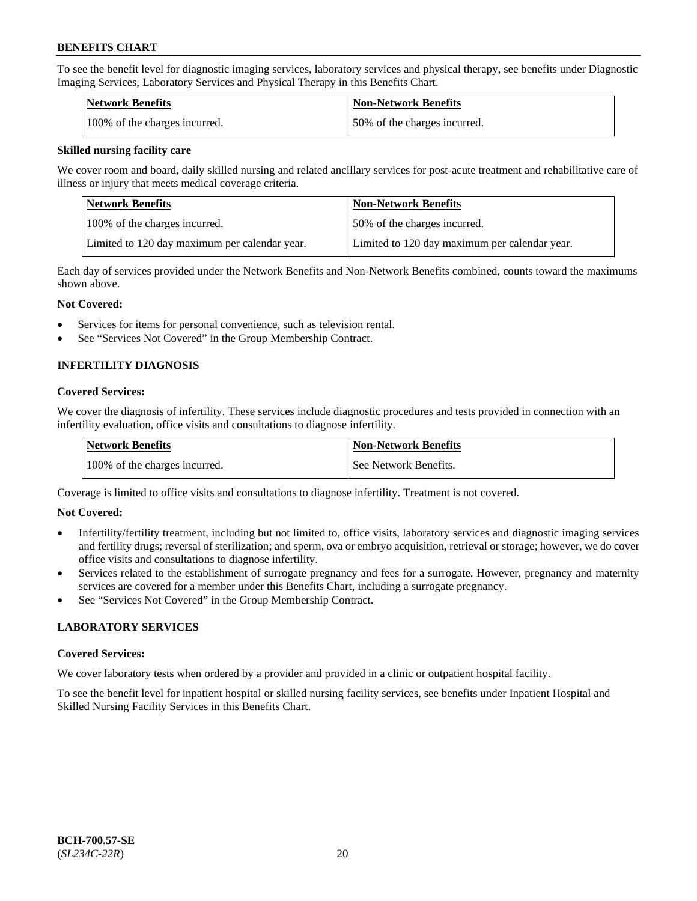To see the benefit level for diagnostic imaging services, laboratory services and physical therapy, see benefits under Diagnostic Imaging Services, Laboratory Services and Physical Therapy in this Benefits Chart.

| <b>Network Benefits</b>       | Non-Network Benefits         |
|-------------------------------|------------------------------|
| 100% of the charges incurred. | 50% of the charges incurred. |

#### **Skilled nursing facility care**

We cover room and board, daily skilled nursing and related ancillary services for post-acute treatment and rehabilitative care of illness or injury that meets medical coverage criteria.

| Network Benefits                              | <b>Non-Network Benefits</b>                   |
|-----------------------------------------------|-----------------------------------------------|
| 100\% of the charges incurred.                | 50% of the charges incurred.                  |
| Limited to 120 day maximum per calendar year. | Limited to 120 day maximum per calendar year. |

Each day of services provided under the Network Benefits and Non-Network Benefits combined, counts toward the maximums shown above.

#### **Not Covered:**

- Services for items for personal convenience, such as television rental.
- See "Services Not Covered" in the Group Membership Contract.

## **INFERTILITY DIAGNOSIS**

#### **Covered Services:**

We cover the diagnosis of infertility. These services include diagnostic procedures and tests provided in connection with an infertility evaluation, office visits and consultations to diagnose infertility.

| <b>Network Benefits</b>       | <b>Non-Network Benefits</b> |
|-------------------------------|-----------------------------|
| 100% of the charges incurred. | See Network Benefits.       |

Coverage is limited to office visits and consultations to diagnose infertility. Treatment is not covered.

## **Not Covered:**

- Infertility/fertility treatment, including but not limited to, office visits, laboratory services and diagnostic imaging services and fertility drugs; reversal of sterilization; and sperm, ova or embryo acquisition, retrieval or storage; however, we do cover office visits and consultations to diagnose infertility.
- Services related to the establishment of surrogate pregnancy and fees for a surrogate. However, pregnancy and maternity services are covered for a member under this Benefits Chart, including a surrogate pregnancy.
- See "Services Not Covered" in the Group Membership Contract.

## **LABORATORY SERVICES**

#### **Covered Services:**

We cover laboratory tests when ordered by a provider and provided in a clinic or outpatient hospital facility.

To see the benefit level for inpatient hospital or skilled nursing facility services, see benefits under Inpatient Hospital and Skilled Nursing Facility Services in this Benefits Chart.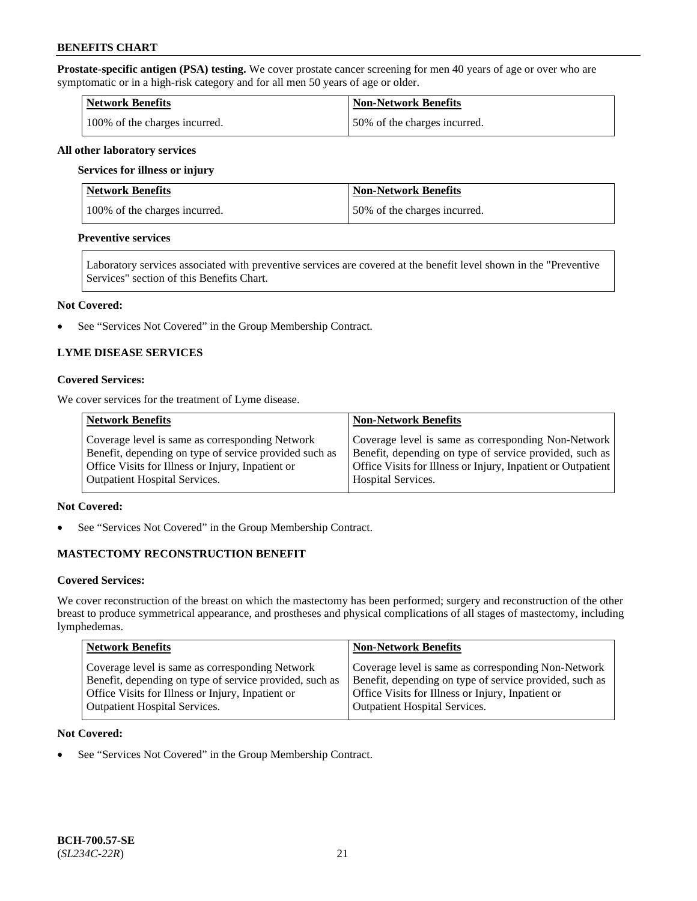**Prostate-specific antigen (PSA) testing.** We cover prostate cancer screening for men 40 years of age or over who are symptomatic or in a high-risk category and for all men 50 years of age or older.

| <b>Network Benefits</b>       | <b>Non-Network Benefits</b>   |
|-------------------------------|-------------------------------|
| 100% of the charges incurred. | 150% of the charges incurred. |

#### **All other laboratory services**

#### **Services for illness or injury**

| Network Benefits              | <b>Non-Network Benefits</b>  |
|-------------------------------|------------------------------|
| 100% of the charges incurred. | 50% of the charges incurred. |

#### **Preventive services**

Laboratory services associated with preventive services are covered at the benefit level shown in the "Preventive Services" section of this Benefits Chart.

#### **Not Covered:**

See "Services Not Covered" in the Group Membership Contract.

## **LYME DISEASE SERVICES**

#### **Covered Services:**

We cover services for the treatment of Lyme disease.

| <b>Network Benefits</b>                                | <b>Non-Network Benefits</b>                                  |
|--------------------------------------------------------|--------------------------------------------------------------|
| Coverage level is same as corresponding Network        | Coverage level is same as corresponding Non-Network          |
| Benefit, depending on type of service provided such as | Benefit, depending on type of service provided, such as      |
| Office Visits for Illness or Injury, Inpatient or      | Office Visits for Illness or Injury, Inpatient or Outpatient |
| <b>Outpatient Hospital Services.</b>                   | Hospital Services.                                           |

## **Not Covered:**

• See "Services Not Covered" in the Group Membership Contract.

## **MASTECTOMY RECONSTRUCTION BENEFIT**

#### **Covered Services:**

We cover reconstruction of the breast on which the mastectomy has been performed; surgery and reconstruction of the other breast to produce symmetrical appearance, and prostheses and physical complications of all stages of mastectomy, including lymphedemas.

| <b>Network Benefits</b>                                 | <b>Non-Network Benefits</b>                             |
|---------------------------------------------------------|---------------------------------------------------------|
| Coverage level is same as corresponding Network         | Coverage level is same as corresponding Non-Network     |
| Benefit, depending on type of service provided, such as | Benefit, depending on type of service provided, such as |
| Office Visits for Illness or Injury, Inpatient or       | Office Visits for Illness or Injury, Inpatient or       |
| <b>Outpatient Hospital Services.</b>                    | Outpatient Hospital Services.                           |

### **Not Covered:**

• See "Services Not Covered" in the Group Membership Contract.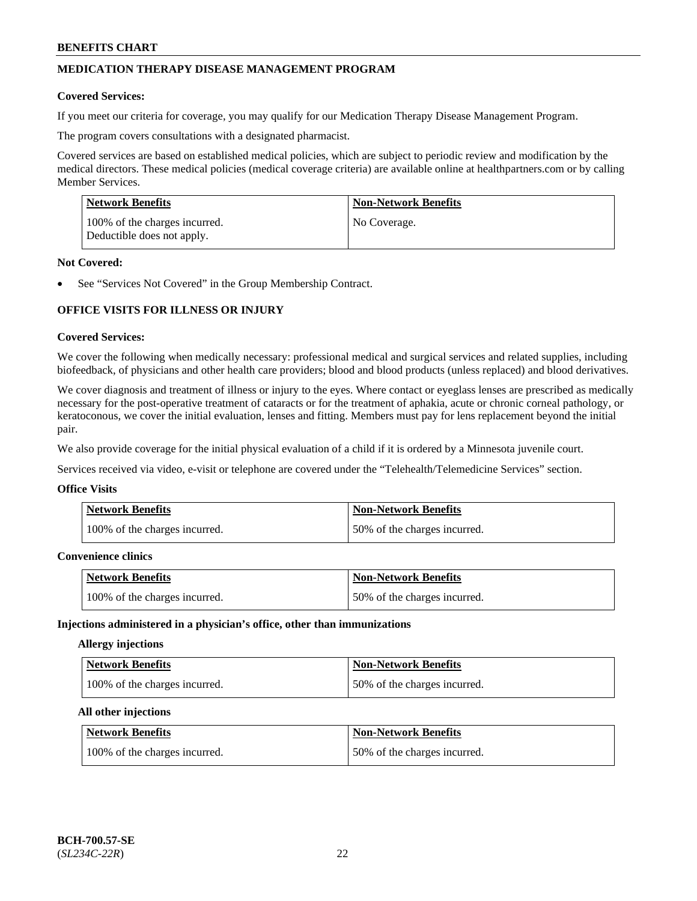## **MEDICATION THERAPY DISEASE MANAGEMENT PROGRAM**

#### **Covered Services:**

If you meet our criteria for coverage, you may qualify for our Medication Therapy Disease Management Program.

The program covers consultations with a designated pharmacist.

Covered services are based on established medical policies, which are subject to periodic review and modification by the medical directors. These medical policies (medical coverage criteria) are available online at [healthpartners.com](https://www.healthpartners.com/hp/index.html) or by calling Member Services.

| Network Benefits                                            | <b>Non-Network Benefits</b> |
|-------------------------------------------------------------|-----------------------------|
| 100% of the charges incurred.<br>Deductible does not apply. | No Coverage.                |

#### **Not Covered:**

See "Services Not Covered" in the Group Membership Contract.

## **OFFICE VISITS FOR ILLNESS OR INJURY**

#### **Covered Services:**

We cover the following when medically necessary: professional medical and surgical services and related supplies, including biofeedback, of physicians and other health care providers; blood and blood products (unless replaced) and blood derivatives.

We cover diagnosis and treatment of illness or injury to the eyes. Where contact or eyeglass lenses are prescribed as medically necessary for the post-operative treatment of cataracts or for the treatment of aphakia, acute or chronic corneal pathology, or keratoconous, we cover the initial evaluation, lenses and fitting. Members must pay for lens replacement beyond the initial pair.

We also provide coverage for the initial physical evaluation of a child if it is ordered by a Minnesota juvenile court.

Services received via video, e-visit or telephone are covered under the "Telehealth/Telemedicine Services" section.

#### **Office Visits**

| <b>Network Benefits</b>       | <b>Non-Network Benefits</b>  |
|-------------------------------|------------------------------|
| 100% of the charges incurred. | 50% of the charges incurred. |

#### **Convenience clinics**

| <b>Network Benefits</b>       | <b>Non-Network Benefits</b>  |
|-------------------------------|------------------------------|
| 100% of the charges incurred. | 50% of the charges incurred. |

#### **Injections administered in a physician's office, other than immunizations**

## **Allergy injections**

| Network Benefits              | <b>Non-Network Benefits</b>  |
|-------------------------------|------------------------------|
| 100% of the charges incurred. | 50% of the charges incurred. |

#### **All other injections**

| Network Benefits              | <b>Non-Network Benefits</b>  |
|-------------------------------|------------------------------|
| 100% of the charges incurred. | 50% of the charges incurred. |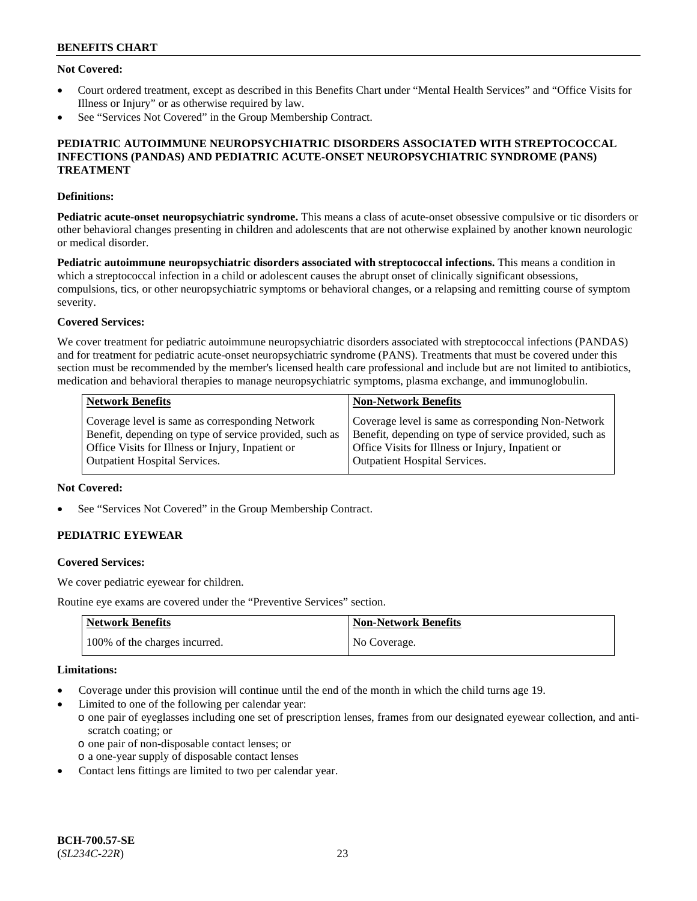## **Not Covered:**

- Court ordered treatment, except as described in this Benefits Chart under "Mental Health Services" and "Office Visits for Illness or Injury" or as otherwise required by law.
- See "Services Not Covered" in the Group Membership Contract.

### **PEDIATRIC AUTOIMMUNE NEUROPSYCHIATRIC DISORDERS ASSOCIATED WITH STREPTOCOCCAL INFECTIONS (PANDAS) AND PEDIATRIC ACUTE-ONSET NEUROPSYCHIATRIC SYNDROME (PANS) TREATMENT**

#### **Definitions:**

**Pediatric acute-onset neuropsychiatric syndrome.** This means a class of acute-onset obsessive compulsive or tic disorders or other behavioral changes presenting in children and adolescents that are not otherwise explained by another known neurologic or medical disorder.

**Pediatric autoimmune neuropsychiatric disorders associated with streptococcal infections.** This means a condition in which a streptococcal infection in a child or adolescent causes the abrupt onset of clinically significant obsessions, compulsions, tics, or other neuropsychiatric symptoms or behavioral changes, or a relapsing and remitting course of symptom severity.

## **Covered Services:**

We cover treatment for pediatric autoimmune neuropsychiatric disorders associated with streptococcal infections (PANDAS) and for treatment for pediatric acute-onset neuropsychiatric syndrome (PANS). Treatments that must be covered under this section must be recommended by the member's licensed health care professional and include but are not limited to antibiotics, medication and behavioral therapies to manage neuropsychiatric symptoms, plasma exchange, and immunoglobulin.

| <b>Network Benefits</b>                                 | <b>Non-Network Benefits</b>                             |
|---------------------------------------------------------|---------------------------------------------------------|
| Coverage level is same as corresponding Network         | Coverage level is same as corresponding Non-Network     |
| Benefit, depending on type of service provided, such as | Benefit, depending on type of service provided, such as |
| Office Visits for Illness or Injury, Inpatient or       | Office Visits for Illness or Injury, Inpatient or       |
| <b>Outpatient Hospital Services.</b>                    | <b>Outpatient Hospital Services.</b>                    |

### **Not Covered:**

See "Services Not Covered" in the Group Membership Contract.

## **PEDIATRIC EYEWEAR**

#### **Covered Services:**

We cover pediatric eyewear for children.

Routine eye exams are covered under the "Preventive Services" section.

| <b>Network Benefits</b>       | Non-Network Benefits |
|-------------------------------|----------------------|
| 100% of the charges incurred. | No Coverage.         |

#### **Limitations:**

- Coverage under this provision will continue until the end of the month in which the child turns age 19.
- Limited to one of the following per calendar year:
	- o one pair of eyeglasses including one set of prescription lenses, frames from our designated eyewear collection, and antiscratch coating; or
		- o one pair of non-disposable contact lenses; or
	- o a one-year supply of disposable contact lenses
- Contact lens fittings are limited to two per calendar year.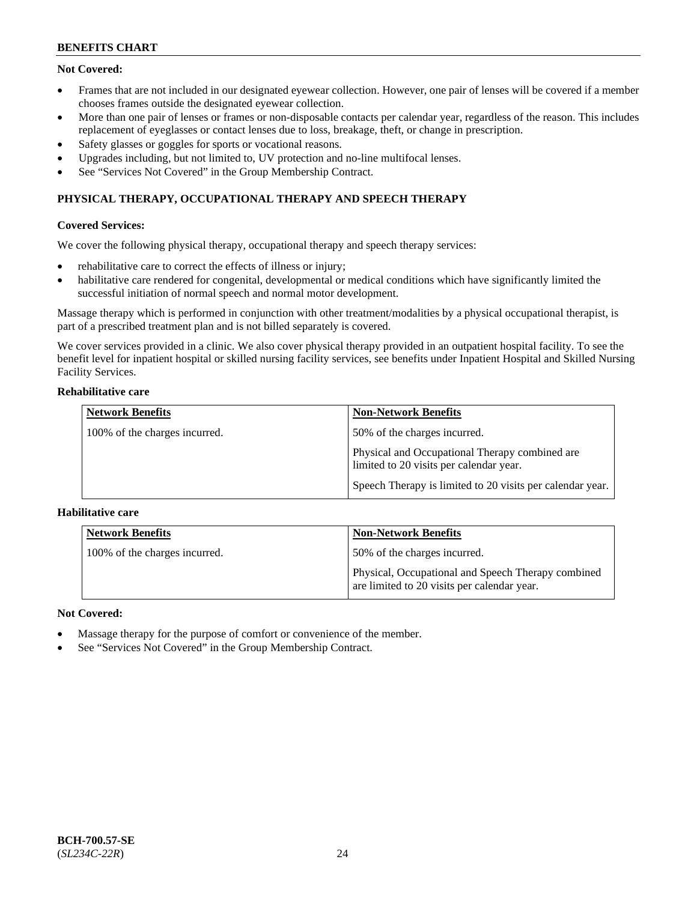## **Not Covered:**

- Frames that are not included in our designated eyewear collection. However, one pair of lenses will be covered if a member chooses frames outside the designated eyewear collection.
- More than one pair of lenses or frames or non-disposable contacts per calendar year, regardless of the reason. This includes replacement of eyeglasses or contact lenses due to loss, breakage, theft, or change in prescription.
- Safety glasses or goggles for sports or vocational reasons.
- Upgrades including, but not limited to, UV protection and no-line multifocal lenses.
- See "Services Not Covered" in the Group Membership Contract.

## **PHYSICAL THERAPY, OCCUPATIONAL THERAPY AND SPEECH THERAPY**

## **Covered Services:**

We cover the following physical therapy, occupational therapy and speech therapy services:

- rehabilitative care to correct the effects of illness or injury;
- habilitative care rendered for congenital, developmental or medical conditions which have significantly limited the successful initiation of normal speech and normal motor development.

Massage therapy which is performed in conjunction with other treatment/modalities by a physical occupational therapist, is part of a prescribed treatment plan and is not billed separately is covered.

We cover services provided in a clinic. We also cover physical therapy provided in an outpatient hospital facility. To see the benefit level for inpatient hospital or skilled nursing facility services, see benefits under Inpatient Hospital and Skilled Nursing Facility Services.

### **Rehabilitative care**

| <b>Network Benefits</b>       | <b>Non-Network Benefits</b>                                                               |
|-------------------------------|-------------------------------------------------------------------------------------------|
| 100% of the charges incurred. | 50% of the charges incurred.                                                              |
|                               | Physical and Occupational Therapy combined are<br>limited to 20 visits per calendar year. |
|                               | Speech Therapy is limited to 20 visits per calendar year.                                 |

## **Habilitative care**

| <b>Network Benefits</b>       | <b>Non-Network Benefits</b>                                                                       |
|-------------------------------|---------------------------------------------------------------------------------------------------|
| 100% of the charges incurred. | 50% of the charges incurred.                                                                      |
|                               | Physical, Occupational and Speech Therapy combined<br>are limited to 20 visits per calendar year. |

## **Not Covered:**

- Massage therapy for the purpose of comfort or convenience of the member.
- See "Services Not Covered" in the Group Membership Contract.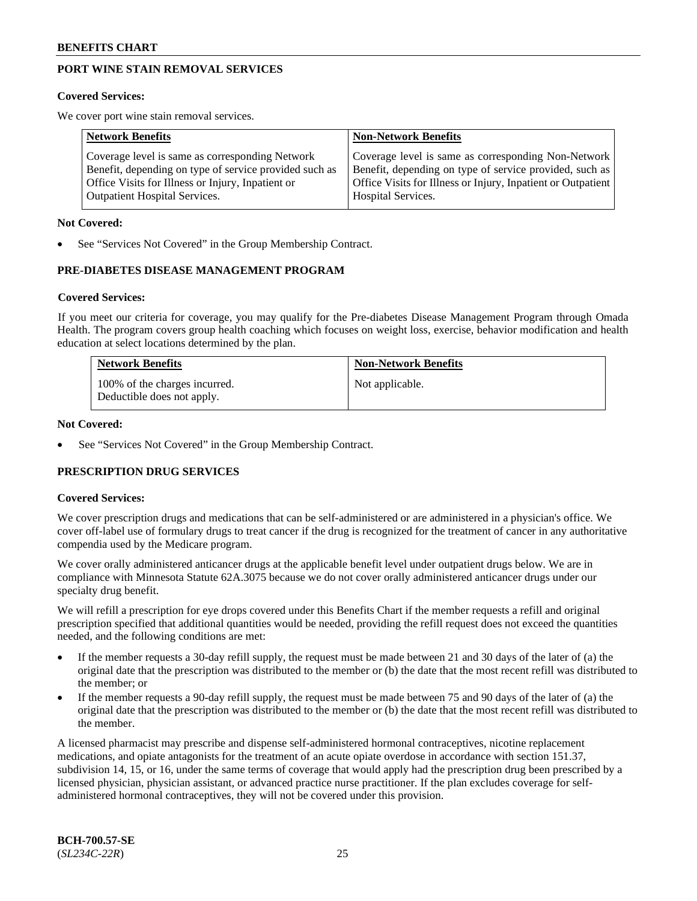## **PORT WINE STAIN REMOVAL SERVICES**

#### **Covered Services:**

We cover port wine stain removal services.

| <b>Network Benefits</b>                                | <b>Non-Network Benefits</b>                                  |
|--------------------------------------------------------|--------------------------------------------------------------|
| Coverage level is same as corresponding Network        | Coverage level is same as corresponding Non-Network          |
| Benefit, depending on type of service provided such as | Benefit, depending on type of service provided, such as      |
| Office Visits for Illness or Injury, Inpatient or      | Office Visits for Illness or Injury, Inpatient or Outpatient |
| <b>Outpatient Hospital Services.</b>                   | Hospital Services.                                           |

#### **Not Covered:**

See "Services Not Covered" in the Group Membership Contract.

## **PRE-DIABETES DISEASE MANAGEMENT PROGRAM**

#### **Covered Services:**

If you meet our criteria for coverage, you may qualify for the Pre-diabetes Disease Management Program through Omada Health. The program covers group health coaching which focuses on weight loss, exercise, behavior modification and health education at select locations determined by the plan.

| <b>Network Benefits</b>                                     | <b>Non-Network Benefits</b> |
|-------------------------------------------------------------|-----------------------------|
| 100% of the charges incurred.<br>Deductible does not apply. | Not applicable.             |

#### **Not Covered:**

See "Services Not Covered" in the Group Membership Contract.

## **PRESCRIPTION DRUG SERVICES**

#### **Covered Services:**

We cover prescription drugs and medications that can be self-administered or are administered in a physician's office. We cover off-label use of formulary drugs to treat cancer if the drug is recognized for the treatment of cancer in any authoritative compendia used by the Medicare program.

We cover orally administered anticancer drugs at the applicable benefit level under outpatient drugs below. We are in compliance with Minnesota Statute 62A.3075 because we do not cover orally administered anticancer drugs under our specialty drug benefit.

We will refill a prescription for eye drops covered under this Benefits Chart if the member requests a refill and original prescription specified that additional quantities would be needed, providing the refill request does not exceed the quantities needed, and the following conditions are met:

- If the member requests a 30-day refill supply, the request must be made between 21 and 30 days of the later of (a) the original date that the prescription was distributed to the member or (b) the date that the most recent refill was distributed to the member; or
- If the member requests a 90-day refill supply, the request must be made between 75 and 90 days of the later of (a) the original date that the prescription was distributed to the member or (b) the date that the most recent refill was distributed to the member.

A licensed pharmacist may prescribe and dispense self-administered hormonal contraceptives, nicotine replacement medications, and opiate antagonists for the treatment of an acute opiate overdose in accordance with section 151.37, subdivision 14, 15, or 16, under the same terms of coverage that would apply had the prescription drug been prescribed by a licensed physician, physician assistant, or advanced practice nurse practitioner. If the plan excludes coverage for selfadministered hormonal contraceptives, they will not be covered under this provision.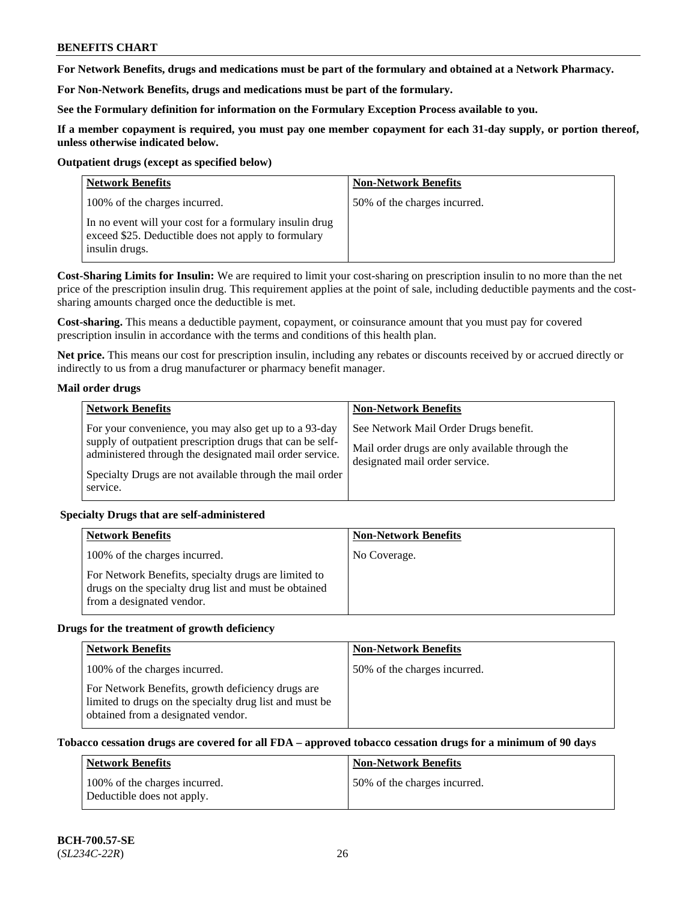**For Network Benefits, drugs and medications must be part of the formulary and obtained at a Network Pharmacy.**

**For Non-Network Benefits, drugs and medications must be part of the formulary.** 

**See the Formulary definition for information on the Formulary Exception Process available to you.**

**If a member copayment is required, you must pay one member copayment for each 31-day supply, or portion thereof, unless otherwise indicated below.**

#### **Outpatient drugs (except as specified below)**

| <b>Network Benefits</b>                                                                                                          | <b>Non-Network Benefits</b>  |
|----------------------------------------------------------------------------------------------------------------------------------|------------------------------|
| 100% of the charges incurred.                                                                                                    | 50% of the charges incurred. |
| In no event will your cost for a formulary insulin drug<br>exceed \$25. Deductible does not apply to formulary<br>insulin drugs. |                              |

**Cost-Sharing Limits for Insulin:** We are required to limit your cost-sharing on prescription insulin to no more than the net price of the prescription insulin drug. This requirement applies at the point of sale, including deductible payments and the costsharing amounts charged once the deductible is met.

**Cost-sharing.** This means a deductible payment, copayment, or coinsurance amount that you must pay for covered prescription insulin in accordance with the terms and conditions of this health plan.

**Net price.** This means our cost for prescription insulin, including any rebates or discounts received by or accrued directly or indirectly to us from a drug manufacturer or pharmacy benefit manager.

## **Mail order drugs**

| <b>Network Benefits</b>                                                                                                                                                                                                                               | <b>Non-Network Benefits</b>                                                                                                |
|-------------------------------------------------------------------------------------------------------------------------------------------------------------------------------------------------------------------------------------------------------|----------------------------------------------------------------------------------------------------------------------------|
| For your convenience, you may also get up to a 93-day<br>supply of outpatient prescription drugs that can be self-<br>administered through the designated mail order service.<br>Specialty Drugs are not available through the mail order<br>service. | See Network Mail Order Drugs benefit.<br>Mail order drugs are only available through the<br>designated mail order service. |

## **Specialty Drugs that are self-administered**

| <b>Network Benefits</b>                                                                                                                    | <b>Non-Network Benefits</b> |
|--------------------------------------------------------------------------------------------------------------------------------------------|-----------------------------|
| 100% of the charges incurred.                                                                                                              | No Coverage.                |
| For Network Benefits, specialty drugs are limited to<br>drugs on the specialty drug list and must be obtained<br>from a designated vendor. |                             |

## **Drugs for the treatment of growth deficiency**

| <b>Network Benefits</b>                                                                                                                            | <b>Non-Network Benefits</b>  |
|----------------------------------------------------------------------------------------------------------------------------------------------------|------------------------------|
| 100% of the charges incurred.                                                                                                                      | 50% of the charges incurred. |
| For Network Benefits, growth deficiency drugs are<br>limited to drugs on the specialty drug list and must be<br>obtained from a designated vendor. |                              |

## **Tobacco cessation drugs are covered for all FDA – approved tobacco cessation drugs for a minimum of 90 days**

| <b>Network Benefits</b>                                     | <b>Non-Network Benefits</b>   |
|-------------------------------------------------------------|-------------------------------|
| 100% of the charges incurred.<br>Deductible does not apply. | 150% of the charges incurred. |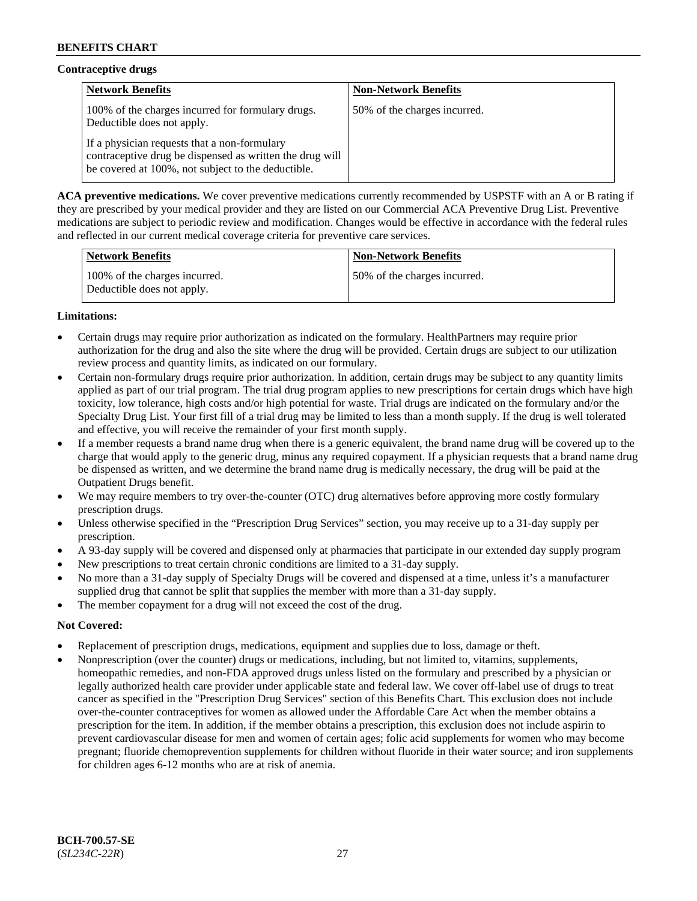## **Contraceptive drugs**

| <b>Network Benefits</b>                                                                                                                                        | <b>Non-Network Benefits</b>  |
|----------------------------------------------------------------------------------------------------------------------------------------------------------------|------------------------------|
| 100% of the charges incurred for formulary drugs.<br>Deductible does not apply.                                                                                | 50% of the charges incurred. |
| If a physician requests that a non-formulary<br>contraceptive drug be dispensed as written the drug will<br>be covered at 100%, not subject to the deductible. |                              |

**ACA preventive medications.** We cover preventive medications currently recommended by USPSTF with an A or B rating if they are prescribed by your medical provider and they are listed on our Commercial ACA Preventive Drug List. Preventive medications are subject to periodic review and modification. Changes would be effective in accordance with the federal rules and reflected in our current medical coverage criteria for preventive care services.

| Network Benefits                                            | <b>Non-Network Benefits</b>  |
|-------------------------------------------------------------|------------------------------|
| 100% of the charges incurred.<br>Deductible does not apply. | 50% of the charges incurred. |

## **Limitations:**

- Certain drugs may require prior authorization as indicated on the formulary. HealthPartners may require prior authorization for the drug and also the site where the drug will be provided. Certain drugs are subject to our utilization review process and quantity limits, as indicated on our formulary.
- Certain non-formulary drugs require prior authorization. In addition, certain drugs may be subject to any quantity limits applied as part of our trial program. The trial drug program applies to new prescriptions for certain drugs which have high toxicity, low tolerance, high costs and/or high potential for waste. Trial drugs are indicated on the formulary and/or the Specialty Drug List. Your first fill of a trial drug may be limited to less than a month supply. If the drug is well tolerated and effective, you will receive the remainder of your first month supply.
- If a member requests a brand name drug when there is a generic equivalent, the brand name drug will be covered up to the charge that would apply to the generic drug, minus any required copayment. If a physician requests that a brand name drug be dispensed as written, and we determine the brand name drug is medically necessary, the drug will be paid at the Outpatient Drugs benefit.
- We may require members to try over-the-counter (OTC) drug alternatives before approving more costly formulary prescription drugs.
- Unless otherwise specified in the "Prescription Drug Services" section, you may receive up to a 31-day supply per prescription.
- A 93-day supply will be covered and dispensed only at pharmacies that participate in our extended day supply program
- New prescriptions to treat certain chronic conditions are limited to a 31-day supply.
- No more than a 31-day supply of Specialty Drugs will be covered and dispensed at a time, unless it's a manufacturer supplied drug that cannot be split that supplies the member with more than a 31-day supply.
- The member copayment for a drug will not exceed the cost of the drug.

## **Not Covered:**

- Replacement of prescription drugs, medications, equipment and supplies due to loss, damage or theft.
- Nonprescription (over the counter) drugs or medications, including, but not limited to, vitamins, supplements, homeopathic remedies, and non-FDA approved drugs unless listed on the formulary and prescribed by a physician or legally authorized health care provider under applicable state and federal law. We cover off-label use of drugs to treat cancer as specified in the "Prescription Drug Services" section of this Benefits Chart. This exclusion does not include over-the-counter contraceptives for women as allowed under the Affordable Care Act when the member obtains a prescription for the item. In addition, if the member obtains a prescription, this exclusion does not include aspirin to prevent cardiovascular disease for men and women of certain ages; folic acid supplements for women who may become pregnant; fluoride chemoprevention supplements for children without fluoride in their water source; and iron supplements for children ages 6-12 months who are at risk of anemia.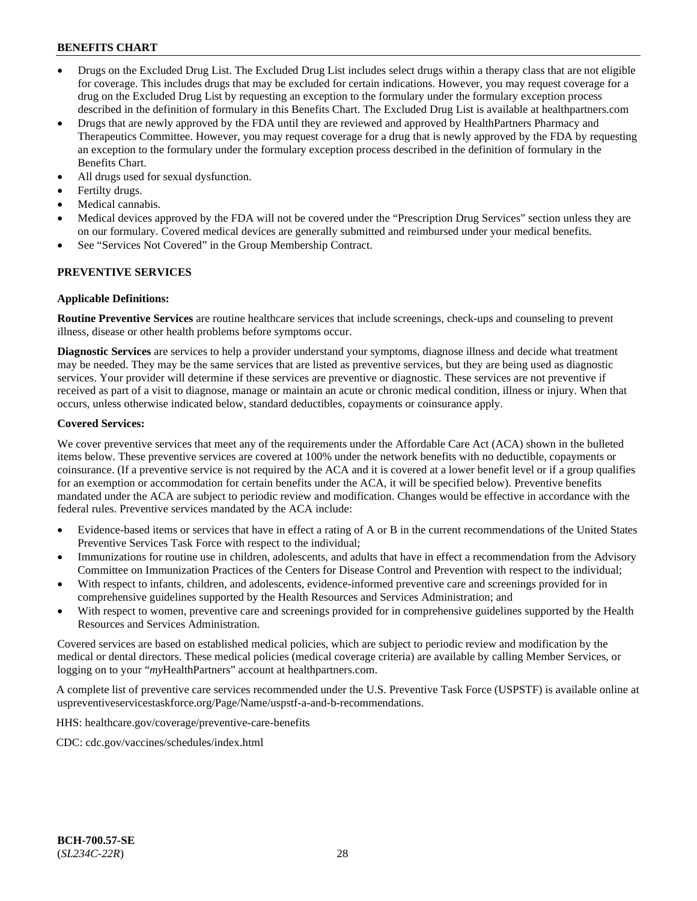- Drugs on the Excluded Drug List. The Excluded Drug List includes select drugs within a therapy class that are not eligible for coverage. This includes drugs that may be excluded for certain indications. However, you may request coverage for a drug on the Excluded Drug List by requesting an exception to the formulary under the formulary exception process described in the definition of formulary in this Benefits Chart. The Excluded Drug List is available at [healthpartners.com](http://www.healthpartners.com/)
- Drugs that are newly approved by the FDA until they are reviewed and approved by HealthPartners Pharmacy and Therapeutics Committee. However, you may request coverage for a drug that is newly approved by the FDA by requesting an exception to the formulary under the formulary exception process described in the definition of formulary in the Benefits Chart.
- All drugs used for sexual dysfunction.
- Fertilty drugs.
- Medical cannabis.
- Medical devices approved by the FDA will not be covered under the "Prescription Drug Services" section unless they are on our formulary. Covered medical devices are generally submitted and reimbursed under your medical benefits.
- See "Services Not Covered" in the Group Membership Contract.

## **PREVENTIVE SERVICES**

#### **Applicable Definitions:**

**Routine Preventive Services** are routine healthcare services that include screenings, check-ups and counseling to prevent illness, disease or other health problems before symptoms occur.

**Diagnostic Services** are services to help a provider understand your symptoms, diagnose illness and decide what treatment may be needed. They may be the same services that are listed as preventive services, but they are being used as diagnostic services. Your provider will determine if these services are preventive or diagnostic. These services are not preventive if received as part of a visit to diagnose, manage or maintain an acute or chronic medical condition, illness or injury. When that occurs, unless otherwise indicated below, standard deductibles, copayments or coinsurance apply.

#### **Covered Services:**

We cover preventive services that meet any of the requirements under the Affordable Care Act (ACA) shown in the bulleted items below. These preventive services are covered at 100% under the network benefits with no deductible, copayments or coinsurance. (If a preventive service is not required by the ACA and it is covered at a lower benefit level or if a group qualifies for an exemption or accommodation for certain benefits under the ACA, it will be specified below). Preventive benefits mandated under the ACA are subject to periodic review and modification. Changes would be effective in accordance with the federal rules. Preventive services mandated by the ACA include:

- Evidence-based items or services that have in effect a rating of A or B in the current recommendations of the United States Preventive Services Task Force with respect to the individual;
- Immunizations for routine use in children, adolescents, and adults that have in effect a recommendation from the Advisory Committee on Immunization Practices of the Centers for Disease Control and Prevention with respect to the individual;
- With respect to infants, children, and adolescents, evidence-informed preventive care and screenings provided for in comprehensive guidelines supported by the Health Resources and Services Administration; and
- With respect to women, preventive care and screenings provided for in comprehensive guidelines supported by the Health Resources and Services Administration.

Covered services are based on established medical policies, which are subject to periodic review and modification by the medical or dental directors. These medical policies (medical coverage criteria) are available by calling Member Services, or logging on to your "*my*HealthPartners" account at [healthpartners.com.](http://www.healthpartners.com/)

A complete list of preventive care services recommended under the U.S. Preventive Task Force (USPSTF) is available online at [uspreventiveservicestaskforce.org/Page/Name/uspstf-a-and-b-recommendations.](https://www.uspreventiveservicestaskforce.org/Page/Name/uspstf-a-and-b-recommendations-by-date/)

HHS: [healthcare.gov/coverage/preventive-care-benefits](https://www.healthcare.gov/coverage/preventive-care-benefits/)

CDC: [cdc.gov/vaccines/schedules/index.html](https://www.cdc.gov/vaccines/schedules/index.html)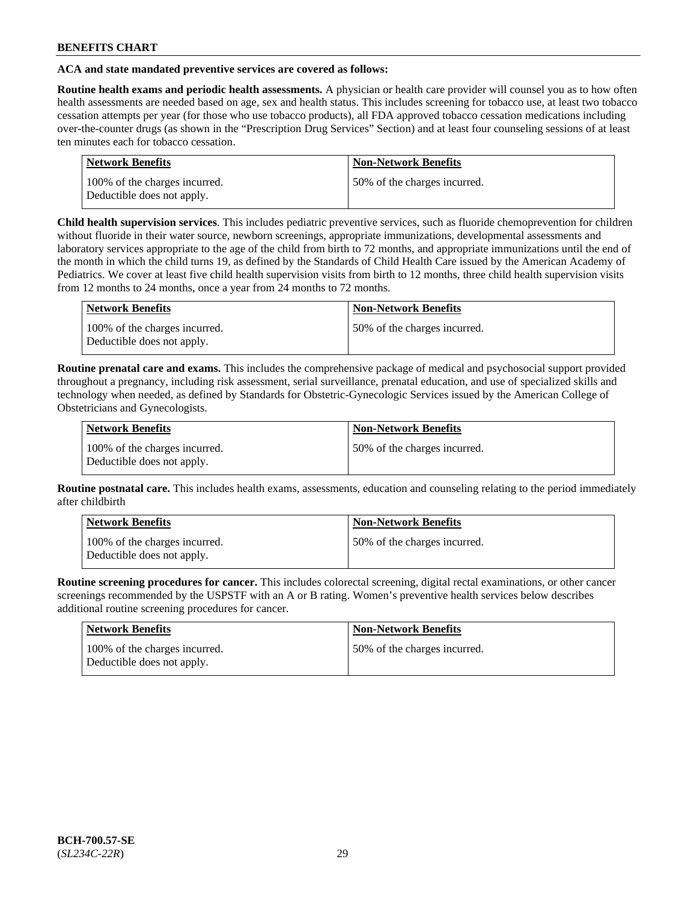## **ACA and state mandated preventive services are covered as follows:**

**Routine health exams and periodic health assessments.** A physician or health care provider will counsel you as to how often health assessments are needed based on age, sex and health status. This includes screening for tobacco use, at least two tobacco cessation attempts per year (for those who use tobacco products), all FDA approved tobacco cessation medications including over-the-counter drugs (as shown in the "Prescription Drug Services" Section) and at least four counseling sessions of at least ten minutes each for tobacco cessation.

| <b>Network Benefits</b>                                     | <b>Non-Network Benefits</b>  |
|-------------------------------------------------------------|------------------------------|
| 100% of the charges incurred.<br>Deductible does not apply. | 50% of the charges incurred. |

**Child health supervision services**. This includes pediatric preventive services, such as fluoride chemoprevention for children without fluoride in their water source, newborn screenings, appropriate immunizations, developmental assessments and laboratory services appropriate to the age of the child from birth to 72 months, and appropriate immunizations until the end of the month in which the child turns 19, as defined by the Standards of Child Health Care issued by the American Academy of Pediatrics. We cover at least five child health supervision visits from birth to 12 months, three child health supervision visits from 12 months to 24 months, once a year from 24 months to 72 months.

| Network Benefits                                            | <b>Non-Network Benefits</b>  |
|-------------------------------------------------------------|------------------------------|
| 100% of the charges incurred.<br>Deductible does not apply. | 50% of the charges incurred. |

**Routine prenatal care and exams.** This includes the comprehensive package of medical and psychosocial support provided throughout a pregnancy, including risk assessment, serial surveillance, prenatal education, and use of specialized skills and technology when needed, as defined by Standards for Obstetric-Gynecologic Services issued by the American College of Obstetricians and Gynecologists.

| Network Benefits                                            | <b>Non-Network Benefits</b>   |
|-------------------------------------------------------------|-------------------------------|
| 100% of the charges incurred.<br>Deductible does not apply. | 150% of the charges incurred. |

**Routine postnatal care.** This includes health exams, assessments, education and counseling relating to the period immediately after childbirth

| Network Benefits                                            | <b>Non-Network Benefits</b>  |
|-------------------------------------------------------------|------------------------------|
| 100% of the charges incurred.<br>Deductible does not apply. | 50% of the charges incurred. |

**Routine screening procedures for cancer.** This includes colorectal screening, digital rectal examinations, or other cancer screenings recommended by the USPSTF with an A or B rating. Women's preventive health services below describes additional routine screening procedures for cancer.

| <b>Network Benefits</b>                                     | <b>Non-Network Benefits</b>  |
|-------------------------------------------------------------|------------------------------|
| 100% of the charges incurred.<br>Deductible does not apply. | 50% of the charges incurred. |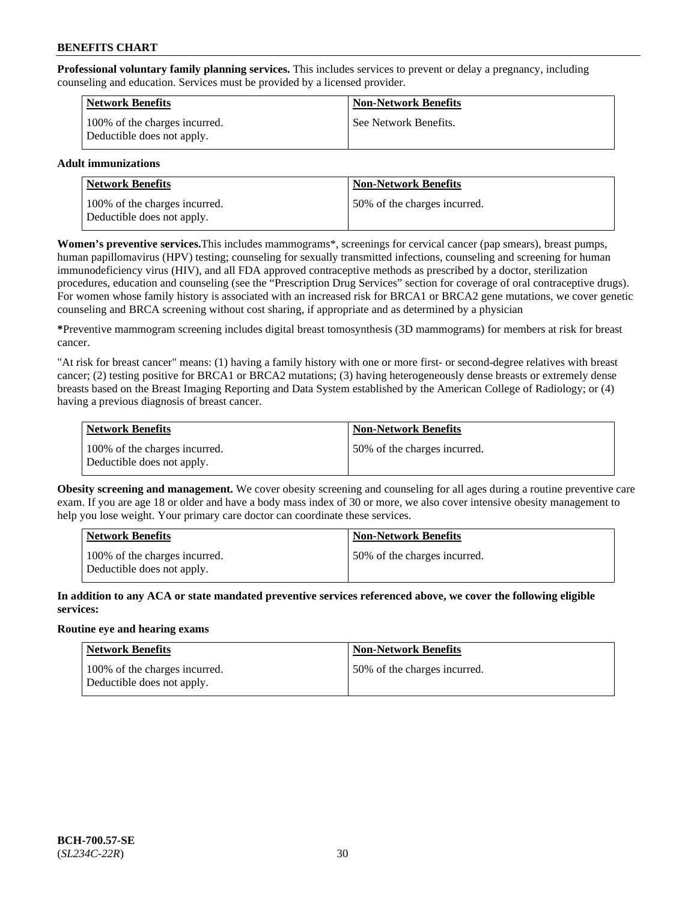**Professional voluntary family planning services.** This includes services to prevent or delay a pregnancy, including counseling and education. Services must be provided by a licensed provider.

| <b>Network Benefits</b>                                     | <b>Non-Network Benefits</b> |
|-------------------------------------------------------------|-----------------------------|
| 100% of the charges incurred.<br>Deductible does not apply. | See Network Benefits.       |

## **Adult immunizations**

| <b>Network Benefits</b>                                     | <b>Non-Network Benefits</b>  |
|-------------------------------------------------------------|------------------------------|
| 100% of the charges incurred.<br>Deductible does not apply. | 50% of the charges incurred. |

**Women's preventive services.**This includes mammograms\*, screenings for cervical cancer (pap smears), breast pumps, human papillomavirus (HPV) testing; counseling for sexually transmitted infections, counseling and screening for human immunodeficiency virus (HIV), and all FDA approved contraceptive methods as prescribed by a doctor, sterilization procedures, education and counseling (see the "Prescription Drug Services" section for coverage of oral contraceptive drugs). For women whose family history is associated with an increased risk for BRCA1 or BRCA2 gene mutations, we cover genetic counseling and BRCA screening without cost sharing, if appropriate and as determined by a physician

**\***Preventive mammogram screening includes digital breast tomosynthesis (3D mammograms) for members at risk for breast cancer.

"At risk for breast cancer" means: (1) having a family history with one or more first- or second-degree relatives with breast cancer; (2) testing positive for BRCA1 or BRCA2 mutations; (3) having heterogeneously dense breasts or extremely dense breasts based on the Breast Imaging Reporting and Data System established by the American College of Radiology; or (4) having a previous diagnosis of breast cancer.

| Network Benefits                                            | <b>Non-Network Benefits</b>  |
|-------------------------------------------------------------|------------------------------|
| 100% of the charges incurred.<br>Deductible does not apply. | 50% of the charges incurred. |

**Obesity screening and management.** We cover obesity screening and counseling for all ages during a routine preventive care exam. If you are age 18 or older and have a body mass index of 30 or more, we also cover intensive obesity management to help you lose weight. Your primary care doctor can coordinate these services.

| Network Benefits                                            | <b>Non-Network Benefits</b>  |
|-------------------------------------------------------------|------------------------------|
| 100% of the charges incurred.<br>Deductible does not apply. | 50% of the charges incurred. |

**In addition to any ACA or state mandated preventive services referenced above, we cover the following eligible services:**

## **Routine eye and hearing exams**

| Network Benefits                                            | <b>Non-Network Benefits</b>  |
|-------------------------------------------------------------|------------------------------|
| 100% of the charges incurred.<br>Deductible does not apply. | 50% of the charges incurred. |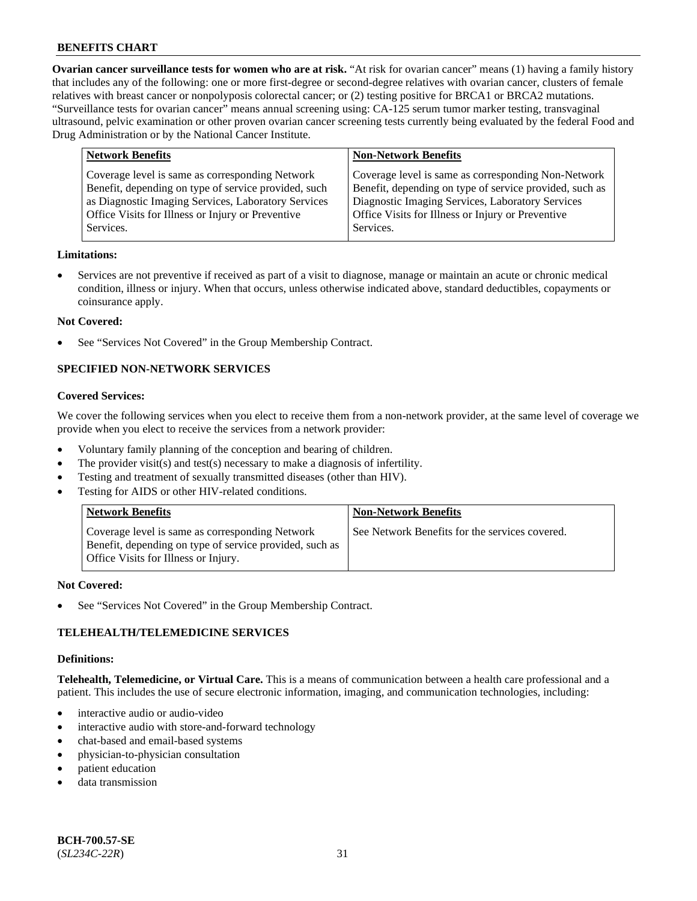**Ovarian cancer surveillance tests for women who are at risk.** "At risk for ovarian cancer" means (1) having a family history that includes any of the following: one or more first-degree or second-degree relatives with ovarian cancer, clusters of female relatives with breast cancer or nonpolyposis colorectal cancer; or (2) testing positive for BRCA1 or BRCA2 mutations. "Surveillance tests for ovarian cancer" means annual screening using: CA-125 serum tumor marker testing, transvaginal ultrasound, pelvic examination or other proven ovarian cancer screening tests currently being evaluated by the federal Food and Drug Administration or by the National Cancer Institute.

| <b>Network Benefits</b>                                                                                                                                                                                                          | <b>Non-Network Benefits</b>                                                                                                                                                                                                          |
|----------------------------------------------------------------------------------------------------------------------------------------------------------------------------------------------------------------------------------|--------------------------------------------------------------------------------------------------------------------------------------------------------------------------------------------------------------------------------------|
| Coverage level is same as corresponding Network<br>Benefit, depending on type of service provided, such<br>as Diagnostic Imaging Services, Laboratory Services<br>Office Visits for Illness or Injury or Preventive<br>Services. | Coverage level is same as corresponding Non-Network<br>Benefit, depending on type of service provided, such as<br>Diagnostic Imaging Services, Laboratory Services<br>Office Visits for Illness or Injury or Preventive<br>Services. |
|                                                                                                                                                                                                                                  |                                                                                                                                                                                                                                      |

#### **Limitations:**

• Services are not preventive if received as part of a visit to diagnose, manage or maintain an acute or chronic medical condition, illness or injury. When that occurs, unless otherwise indicated above, standard deductibles, copayments or coinsurance apply.

#### **Not Covered:**

See "Services Not Covered" in the Group Membership Contract.

## **SPECIFIED NON-NETWORK SERVICES**

#### **Covered Services:**

We cover the following services when you elect to receive them from a non-network provider, at the same level of coverage we provide when you elect to receive the services from a network provider:

- Voluntary family planning of the conception and bearing of children.
- The provider visit(s) and test(s) necessary to make a diagnosis of infertility.
- Testing and treatment of sexually transmitted diseases (other than HIV).
- Testing for AIDS or other HIV-related conditions.

| <b>Network Benefits</b>                                                                                                                            | <b>Non-Network Benefits</b>                    |
|----------------------------------------------------------------------------------------------------------------------------------------------------|------------------------------------------------|
| Coverage level is same as corresponding Network<br>Benefit, depending on type of service provided, such as<br>Office Visits for Illness or Injury. | See Network Benefits for the services covered. |

#### **Not Covered:**

See "Services Not Covered" in the Group Membership Contract.

## **TELEHEALTH/TELEMEDICINE SERVICES**

#### **Definitions:**

**Telehealth, Telemedicine, or Virtual Care.** This is a means of communication between a health care professional and a patient. This includes the use of secure electronic information, imaging, and communication technologies, including:

- interactive audio or audio-video
- interactive audio with store-and-forward technology
- chat-based and email-based systems
- physician-to-physician consultation
- patient education
- data transmission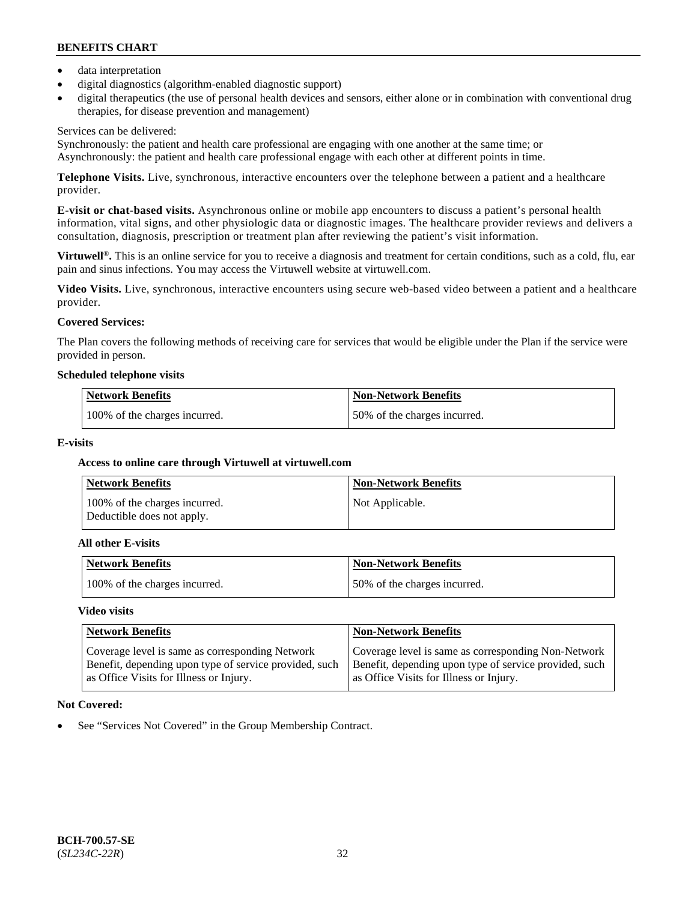- data interpretation
- digital diagnostics (algorithm-enabled diagnostic support)
- digital therapeutics (the use of personal health devices and sensors, either alone or in combination with conventional drug therapies, for disease prevention and management)

## Services can be delivered:

Synchronously: the patient and health care professional are engaging with one another at the same time; or Asynchronously: the patient and health care professional engage with each other at different points in time.

**Telephone Visits.** Live, synchronous, interactive encounters over the telephone between a patient and a healthcare provider.

**E-visit or chat-based visits.** Asynchronous online or mobile app encounters to discuss a patient's personal health information, vital signs, and other physiologic data or diagnostic images. The healthcare provider reviews and delivers a consultation, diagnosis, prescription or treatment plan after reviewing the patient's visit information.

**Virtuwell<sup>®</sup>**. This is an online service for you to receive a diagnosis and treatment for certain conditions, such as a cold, flu, ear pain and sinus infections. You may access the Virtuwell website at [virtuwell.com.](https://www.virtuwell.com/)

**Video Visits.** Live, synchronous, interactive encounters using secure web-based video between a patient and a healthcare provider.

## **Covered Services:**

The Plan covers the following methods of receiving care for services that would be eligible under the Plan if the service were provided in person.

#### **Scheduled telephone visits**

| <b>Network Benefits</b>       | <b>Non-Network Benefits</b>  |
|-------------------------------|------------------------------|
| 100% of the charges incurred. | 50% of the charges incurred. |

## **E-visits**

## **Access to online care through Virtuwell at [virtuwell.com](https://www.virtuwell.com/)**

| <b>Network Benefits</b>                                     | <b>Non-Network Benefits</b> |
|-------------------------------------------------------------|-----------------------------|
| 100% of the charges incurred.<br>Deductible does not apply. | Not Applicable.             |

#### **All other E-visits**

| <b>Network Benefits</b>       | <b>Non-Network Benefits</b>  |
|-------------------------------|------------------------------|
| 100% of the charges incurred. | 50% of the charges incurred. |

## **Video visits**

| <b>Network Benefits</b>                                                                                                                              | <b>Non-Network Benefits</b>                                                                                                                              |
|------------------------------------------------------------------------------------------------------------------------------------------------------|----------------------------------------------------------------------------------------------------------------------------------------------------------|
| Coverage level is same as corresponding Network<br>Benefit, depending upon type of service provided, such<br>as Office Visits for Illness or Injury. | Coverage level is same as corresponding Non-Network<br>Benefit, depending upon type of service provided, such<br>as Office Visits for Illness or Injury. |

## **Not Covered:**

See "Services Not Covered" in the Group Membership Contract.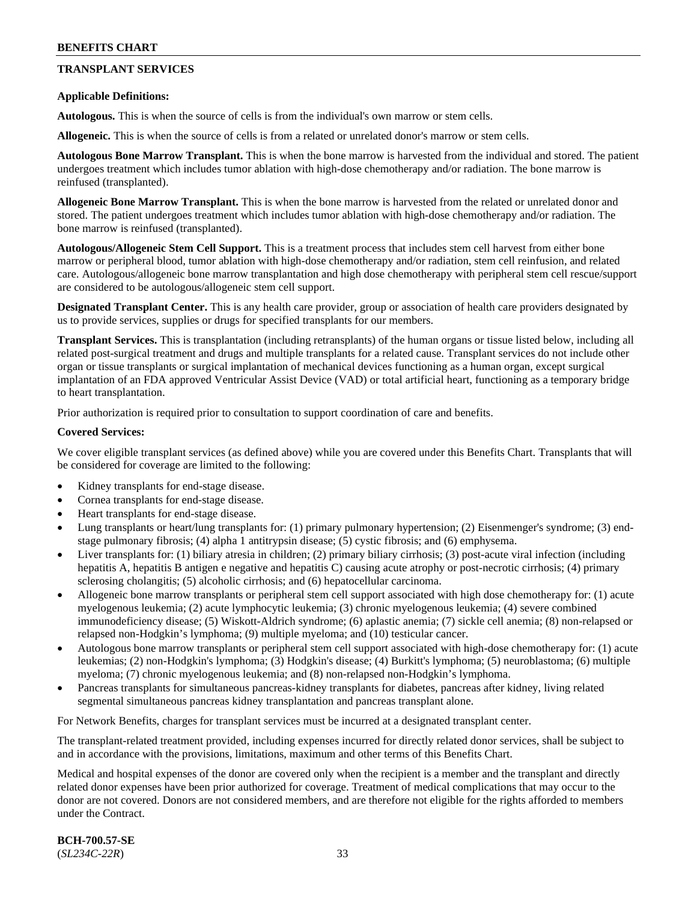## **TRANSPLANT SERVICES**

### **Applicable Definitions:**

**Autologous.** This is when the source of cells is from the individual's own marrow or stem cells.

**Allogeneic.** This is when the source of cells is from a related or unrelated donor's marrow or stem cells.

**Autologous Bone Marrow Transplant.** This is when the bone marrow is harvested from the individual and stored. The patient undergoes treatment which includes tumor ablation with high-dose chemotherapy and/or radiation. The bone marrow is reinfused (transplanted).

**Allogeneic Bone Marrow Transplant.** This is when the bone marrow is harvested from the related or unrelated donor and stored. The patient undergoes treatment which includes tumor ablation with high-dose chemotherapy and/or radiation. The bone marrow is reinfused (transplanted).

**Autologous/Allogeneic Stem Cell Support.** This is a treatment process that includes stem cell harvest from either bone marrow or peripheral blood, tumor ablation with high-dose chemotherapy and/or radiation, stem cell reinfusion, and related care. Autologous/allogeneic bone marrow transplantation and high dose chemotherapy with peripheral stem cell rescue/support are considered to be autologous/allogeneic stem cell support.

**Designated Transplant Center.** This is any health care provider, group or association of health care providers designated by us to provide services, supplies or drugs for specified transplants for our members.

**Transplant Services.** This is transplantation (including retransplants) of the human organs or tissue listed below, including all related post-surgical treatment and drugs and multiple transplants for a related cause. Transplant services do not include other organ or tissue transplants or surgical implantation of mechanical devices functioning as a human organ, except surgical implantation of an FDA approved Ventricular Assist Device (VAD) or total artificial heart, functioning as a temporary bridge to heart transplantation.

Prior authorization is required prior to consultation to support coordination of care and benefits.

#### **Covered Services:**

We cover eligible transplant services (as defined above) while you are covered under this Benefits Chart. Transplants that will be considered for coverage are limited to the following:

- Kidney transplants for end-stage disease.
- Cornea transplants for end-stage disease.
- Heart transplants for end-stage disease.
- Lung transplants or heart/lung transplants for: (1) primary pulmonary hypertension; (2) Eisenmenger's syndrome; (3) endstage pulmonary fibrosis; (4) alpha 1 antitrypsin disease; (5) cystic fibrosis; and (6) emphysema.
- Liver transplants for: (1) biliary atresia in children; (2) primary biliary cirrhosis; (3) post-acute viral infection (including hepatitis A, hepatitis B antigen e negative and hepatitis C) causing acute atrophy or post-necrotic cirrhosis; (4) primary sclerosing cholangitis; (5) alcoholic cirrhosis; and (6) hepatocellular carcinoma.
- Allogeneic bone marrow transplants or peripheral stem cell support associated with high dose chemotherapy for: (1) acute myelogenous leukemia; (2) acute lymphocytic leukemia; (3) chronic myelogenous leukemia; (4) severe combined immunodeficiency disease; (5) Wiskott-Aldrich syndrome; (6) aplastic anemia; (7) sickle cell anemia; (8) non-relapsed or relapsed non-Hodgkin's lymphoma; (9) multiple myeloma; and (10) testicular cancer.
- Autologous bone marrow transplants or peripheral stem cell support associated with high-dose chemotherapy for: (1) acute leukemias; (2) non-Hodgkin's lymphoma; (3) Hodgkin's disease; (4) Burkitt's lymphoma; (5) neuroblastoma; (6) multiple myeloma; (7) chronic myelogenous leukemia; and (8) non-relapsed non-Hodgkin's lymphoma.
- Pancreas transplants for simultaneous pancreas-kidney transplants for diabetes, pancreas after kidney, living related segmental simultaneous pancreas kidney transplantation and pancreas transplant alone.

For Network Benefits, charges for transplant services must be incurred at a designated transplant center.

The transplant-related treatment provided, including expenses incurred for directly related donor services, shall be subject to and in accordance with the provisions, limitations, maximum and other terms of this Benefits Chart.

Medical and hospital expenses of the donor are covered only when the recipient is a member and the transplant and directly related donor expenses have been prior authorized for coverage. Treatment of medical complications that may occur to the donor are not covered. Donors are not considered members, and are therefore not eligible for the rights afforded to members under the Contract.